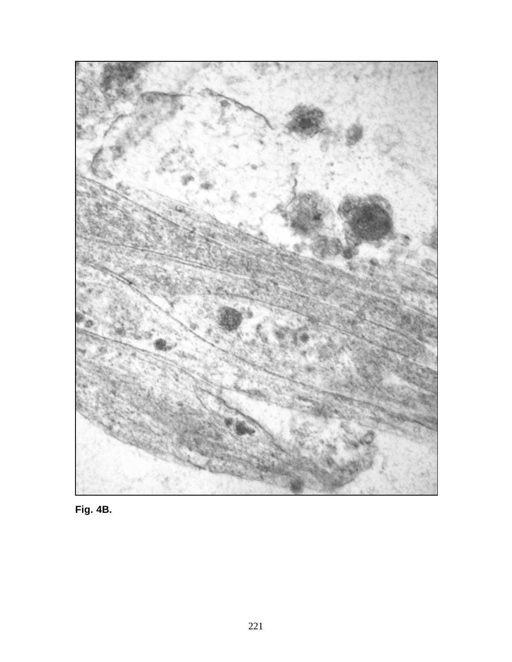

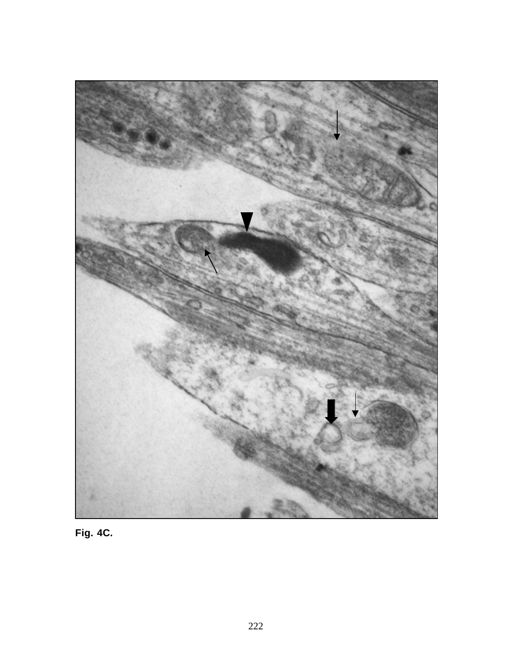

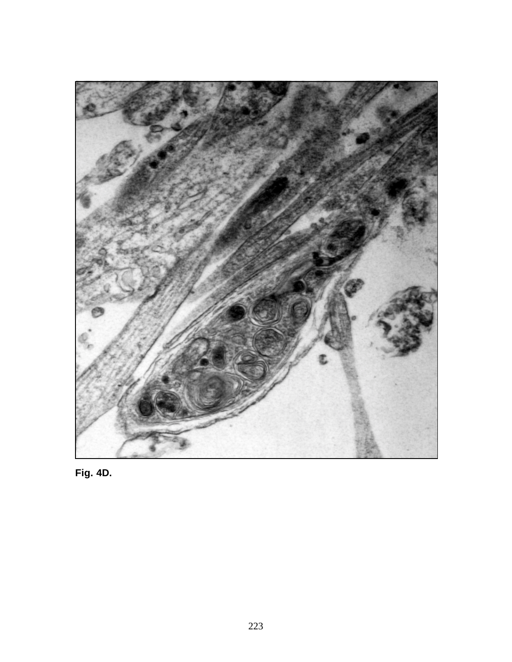

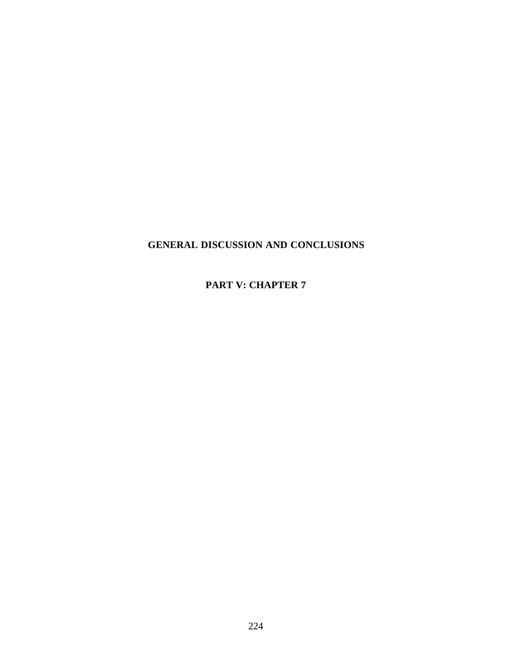## **GENERAL DISCUSSION AND CONCLUSIONS**

**PART V: CHAPTER 7**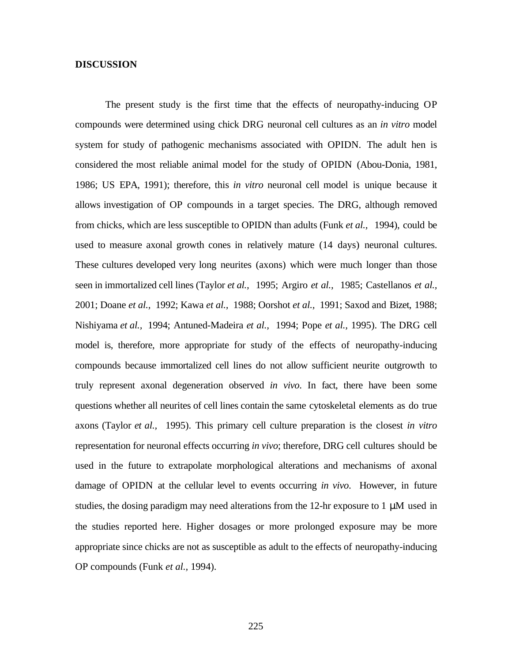### **DISCUSSION**

The present study is the first time that the effects of neuropathy-inducing OP compounds were determined using chick DRG neuronal cell cultures as an *in vitro* model system for study of pathogenic mechanisms associated with OPIDN. The adult hen is considered the most reliable animal model for the study of OPIDN (Abou-Donia, 1981, 1986; US EPA, 1991); therefore, this *in vitro* neuronal cell model is unique because it allows investigation of OP compounds in a target species. The DRG, although removed from chicks, which are less susceptible to OPIDN than adults (Funk *et al.,* 1994), could be used to measure axonal growth cones in relatively mature (14 days) neuronal cultures. These cultures developed very long neurites (axons) which were much longer than those seen in immortalized cell lines (Taylor *et al.,* 1995; Argiro *et al.,* 1985; Castellanos *et al.,* 2001; Doane *et al.,* 1992; Kawa *et al.,* 1988; Oorshot *et al.,* 1991; Saxod and Bizet, 1988; Nishiyama *et al.,* 1994; Antuned-Madeira *et al.,* 1994; Pope *et al.,* 1995). The DRG cell model is, therefore, more appropriate for study of the effects of neuropathy-inducing compounds because immortalized cell lines do not allow sufficient neurite outgrowth to truly represent axonal degeneration observed *in vivo*. In fact, there have been some questions whether all neurites of cell lines contain the same cytoskeletal elements as do true axons (Taylor *et al.,* 1995). This primary cell culture preparation is the closest *in vitro* representation for neuronal effects occurring *in vivo*; therefore, DRG cell cultures should be used in the future to extrapolate morphological alterations and mechanisms of axonal damage of OPIDN at the cellular level to events occurring *in vivo*. However, in future studies, the dosing paradigm may need alterations from the 12-hr exposure to 1  $\mu$ M used in the studies reported here. Higher dosages or more prolonged exposure may be more appropriate since chicks are not as susceptible as adult to the effects of neuropathy-inducing OP compounds (Funk *et al.,* 1994).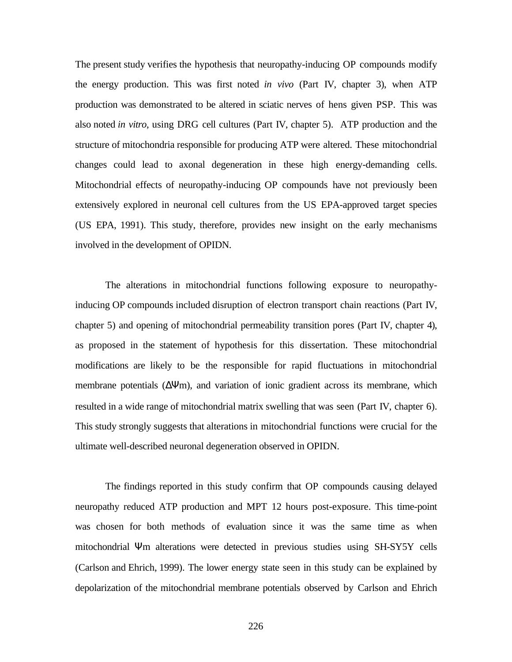The present study verifies the hypothesis that neuropathy-inducing OP compounds modify the energy production. This was first noted *in vivo* (Part IV, chapter 3), when ATP production was demonstrated to be altered in sciatic nerves of hens given PSP. This was also noted *in vitro*, using DRG cell cultures (Part IV, chapter 5). ATP production and the structure of mitochondria responsible for producing ATP were altered. These mitochondrial changes could lead to axonal degeneration in these high energy-demanding cells. Mitochondrial effects of neuropathy-inducing OP compounds have not previously been extensively explored in neuronal cell cultures from the US EPA-approved target species (US EPA, 1991). This study, therefore, provides new insight on the early mechanisms involved in the development of OPIDN.

The alterations in mitochondrial functions following exposure to neuropathyinducing OP compounds included disruption of electron transport chain reactions (Part IV, chapter 5) and opening of mitochondrial permeability transition pores (Part IV, chapter 4), as proposed in the statement of hypothesis for this dissertation. These mitochondrial modifications are likely to be the responsible for rapid fluctuations in mitochondrial membrane potentials (∆Ψm), and variation of ionic gradient across its membrane, which resulted in a wide range of mitochondrial matrix swelling that was seen (Part IV, chapter 6). This study strongly suggests that alterations in mitochondrial functions were crucial for the ultimate well-described neuronal degeneration observed in OPIDN.

The findings reported in this study confirm that OP compounds causing delayed neuropathy reduced ATP production and MPT 12 hours post-exposure. This time-point was chosen for both methods of evaluation since it was the same time as when mitochondrial Ψm alterations were detected in previous studies using SH-SY5Y cells (Carlson and Ehrich, 1999). The lower energy state seen in this study can be explained by depolarization of the mitochondrial membrane potentials observed by Carlson and Ehrich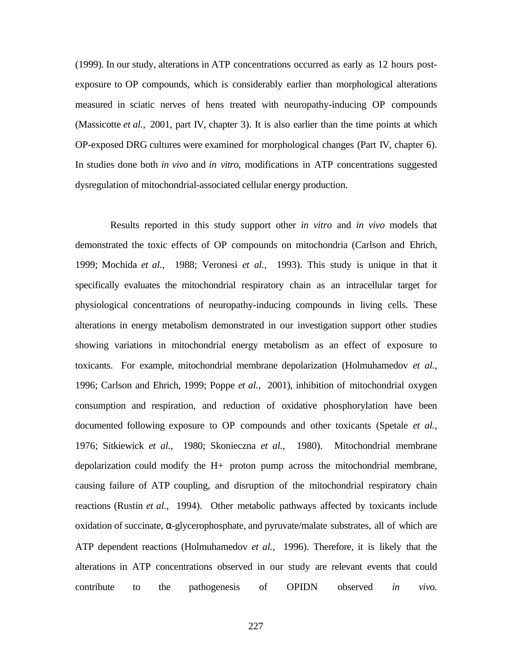(1999). In our study, alterations in ATP concentrations occurred as early as 12 hours postexposure to OP compounds, which is considerably earlier than morphological alterations measured in sciatic nerves of hens treated with neuropathy-inducing OP compounds (Massicotte *et al.,* 2001, part IV, chapter 3). It is also earlier than the time points at which OP-exposed DRG cultures were examined for morphological changes (Part IV, chapter 6). In studies done both *in vivo* and *in vitro*, modifications in ATP concentrations suggested dysregulation of mitochondrial-associated cellular energy production.

 Results reported in this study support other *in vitro* and *in vivo* models that demonstrated the toxic effects of OP compounds on mitochondria (Carlson and Ehrich, 1999; Mochida *et al.,* 1988; Veronesi *et al.,* 1993). This study is unique in that it specifically evaluates the mitochondrial respiratory chain as an intracellular target for physiological concentrations of neuropathy-inducing compounds in living cells. These alterations in energy metabolism demonstrated in our investigation support other studies showing variations in mitochondrial energy metabolism as an effect of exposure to toxicants. For example, mitochondrial membrane depolarization (Holmuhamedov *et al.,* 1996; Carlson and Ehrich, 1999; Poppe *et al.,* 2001), inhibition of mitochondrial oxygen consumption and respiration, and reduction of oxidative phosphorylation have been documented following exposure to OP compounds and other toxicants (Spetale *et al.,* 1976; Sitkiewick *et al.,* 1980; Skonieczna *et al.,* 1980). Mitochondrial membrane depolarization could modify the H+ proton pump across the mitochondrial membrane, causing failure of ATP coupling, and disruption of the mitochondrial respiratory chain reactions (Rustin *et al.,* 1994). Other metabolic pathways affected by toxicants include oxidation of succinate, α-glycerophosphate, and pyruvate/malate substrates, all of which are ATP dependent reactions (Holmuhamedov *et al.,* 1996). Therefore, it is likely that the alterations in ATP concentrations observed in our study are relevant events that could contribute to the pathogenesis of OPIDN observed *in vivo.*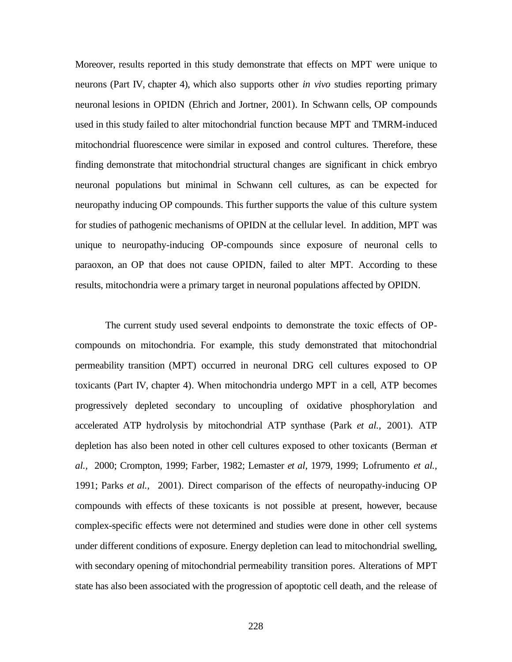Moreover, results reported in this study demonstrate that effects on MPT were unique to neurons (Part IV, chapter 4), which also supports other *in vivo* studies reporting primary neuronal lesions in OPIDN (Ehrich and Jortner, 2001). In Schwann cells, OP compounds used in this study failed to alter mitochondrial function because MPT and TMRM-induced mitochondrial fluorescence were similar in exposed and control cultures. Therefore, these finding demonstrate that mitochondrial structural changes are significant in chick embryo neuronal populations but minimal in Schwann cell cultures, as can be expected for neuropathy inducing OP compounds. This further supports the value of this culture system for studies of pathogenic mechanisms of OPIDN at the cellular level. In addition, MPT was unique to neuropathy-inducing OP-compounds since exposure of neuronal cells to paraoxon, an OP that does not cause OPIDN, failed to alter MPT. According to these results, mitochondria were a primary target in neuronal populations affected by OPIDN.

The current study used several endpoints to demonstrate the toxic effects of OPcompounds on mitochondria. For example, this study demonstrated that mitochondrial permeability transition (MPT) occurred in neuronal DRG cell cultures exposed to OP toxicants (Part IV, chapter 4). When mitochondria undergo MPT in a cell, ATP becomes progressively depleted secondary to uncoupling of oxidative phosphorylation and accelerated ATP hydrolysis by mitochondrial ATP synthase (Park *et al.,* 2001). ATP depletion has also been noted in other cell cultures exposed to other toxicants (Berman *et al.,* 2000; Crompton, 1999; Farber, 1982; Lemaster *et al,* 1979, 1999; Lofrumento *et al.,* 1991; Parks *et al.,* 2001). Direct comparison of the effects of neuropathy-inducing OP compounds with effects of these toxicants is not possible at present, however, because complex-specific effects were not determined and studies were done in other cell systems under different conditions of exposure. Energy depletion can lead to mitochondrial swelling, with secondary opening of mitochondrial permeability transition pores. Alterations of MPT state has also been associated with the progression of apoptotic cell death, and the release of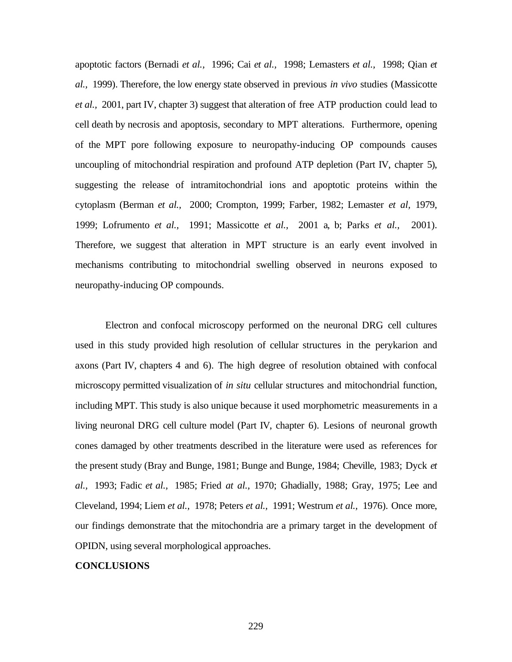apoptotic factors (Bernadi *et al.,* 1996; Cai *et al.,* 1998; Lemasters *et al.,* 1998; Qian *et al.,* 1999). Therefore, the low energy state observed in previous *in vivo* studies (Massicotte *et al.,* 2001, part IV, chapter 3) suggest that alteration of free ATP production could lead to cell death by necrosis and apoptosis, secondary to MPT alterations. Furthermore, opening of the MPT pore following exposure to neuropathy-inducing OP compounds causes uncoupling of mitochondrial respiration and profound ATP depletion (Part IV, chapter 5), suggesting the release of intramitochondrial ions and apoptotic proteins within the cytoplasm (Berman *et al.,* 2000; Crompton, 1999; Farber, 1982; Lemaster *et al,* 1979, 1999; Lofrumento *et al.,* 1991; Massicotte *et al.,* 2001 a, b; Parks *et al.,* 2001). Therefore, we suggest that alteration in MPT structure is an early event involved in mechanisms contributing to mitochondrial swelling observed in neurons exposed to neuropathy-inducing OP compounds.

Electron and confocal microscopy performed on the neuronal DRG cell cultures used in this study provided high resolution of cellular structures in the perykarion and axons (Part IV, chapters 4 and 6). The high degree of resolution obtained with confocal microscopy permitted visualization of *in situ* cellular structures and mitochondrial function, including MPT. This study is also unique because it used morphometric measurements in a living neuronal DRG cell culture model (Part IV, chapter 6). Lesions of neuronal growth cones damaged by other treatments described in the literature were used as references for the present study (Bray and Bunge, 1981; Bunge and Bunge, 1984; Cheville, 1983; Dyck *et al.,* 1993; Fadic *et al.,* 1985; Fried *at al.,* 1970; Ghadially, 1988; Gray, 1975; Lee and Cleveland, 1994; Liem *et al.,* 1978; Peters *et al.,* 1991; Westrum *et al.,* 1976). Once more, our findings demonstrate that the mitochondria are a primary target in the development of OPIDN, using several morphological approaches.

### **CONCLUSIONS**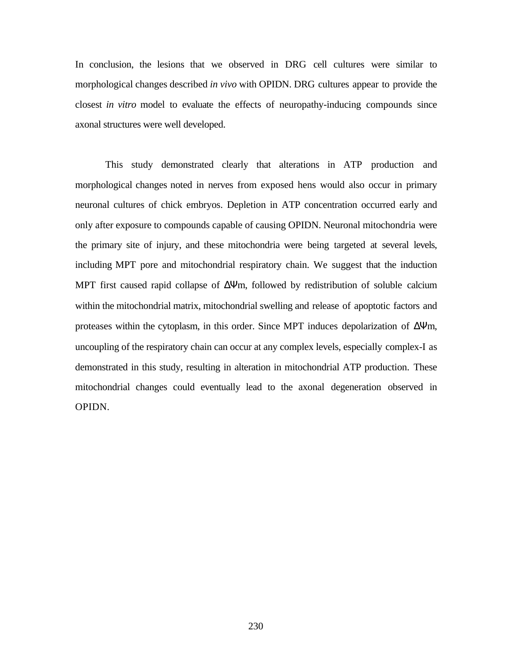In conclusion, the lesions that we observed in DRG cell cultures were similar to morphological changes described *in vivo* with OPIDN. DRG cultures appear to provide the closest *in vitro* model to evaluate the effects of neuropathy-inducing compounds since axonal structures were well developed.

This study demonstrated clearly that alterations in ATP production and morphological changes noted in nerves from exposed hens would also occur in primary neuronal cultures of chick embryos. Depletion in ATP concentration occurred early and only after exposure to compounds capable of causing OPIDN. Neuronal mitochondria were the primary site of injury, and these mitochondria were being targeted at several levels, including MPT pore and mitochondrial respiratory chain. We suggest that the induction MPT first caused rapid collapse of ∆Ψm, followed by redistribution of soluble calcium within the mitochondrial matrix, mitochondrial swelling and release of apoptotic factors and proteases within the cytoplasm, in this order. Since MPT induces depolarization of ∆Ψm, uncoupling of the respiratory chain can occur at any complex levels, especially complex-I as demonstrated in this study, resulting in alteration in mitochondrial ATP production. These mitochondrial changes could eventually lead to the axonal degeneration observed in OPIDN.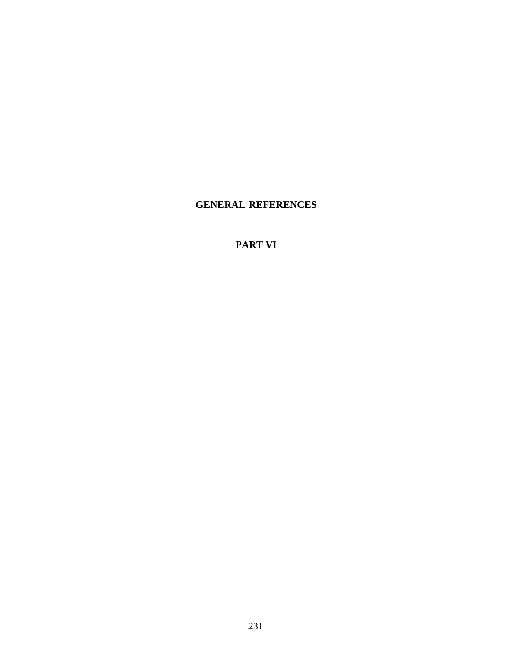# **GENERAL REFERENCES**

### **PART VI**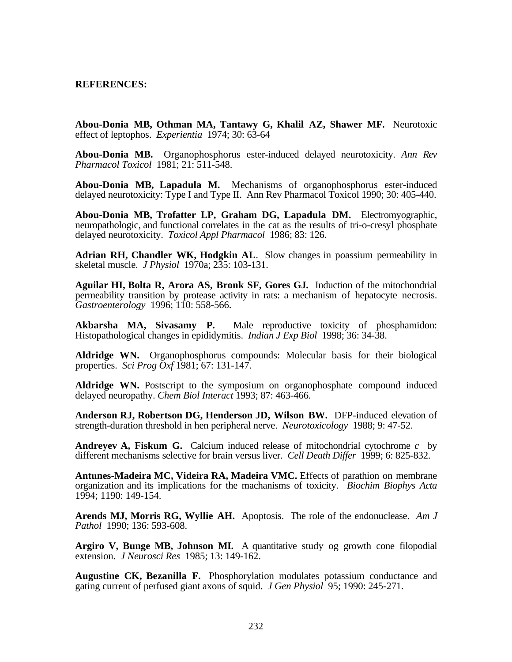### **REFERENCES:**

**Abou-Donia MB, Othman MA, Tantawy G, Khalil AZ, Shawer MF.** Neurotoxic effect of leptophos. *Experientia* 1974; 30: 63-64

**Abou-Donia MB.** Organophosphorus ester-induced delayed neurotoxicity. *Ann Rev Pharmacol Toxicol* 1981; 21: 511-548.

**Abou-Donia MB, Lapadula M.** Mechanisms of organophosphorus ester-induced delayed neurotoxicity: Type I and Type II. Ann Rev Pharmacol Toxicol 1990; 30: 405-440.

**Abou-Donia MB, Trofatter LP, Graham DG, Lapadula DM.** Electromyographic, neuropathologic, and functional correlates in the cat as the results of tri-o-cresyl phosphate delayed neurotoxicity. *Toxicol Appl Pharmacol* 1986; 83: 126.

**Adrian RH, Chandler WK, Hodgkin AL**. Slow changes in poassium permeability in skeletal muscle. *J Physiol* 1970a; 235: 103-131.

**Aguilar HI, Bolta R, Arora AS, Bronk SF, Gores GJ.** Induction of the mitochondrial permeability transition by protease activity in rats: a mechanism of hepatocyte necrosis. *Gastroenterology* 1996; 110: 558-566.

**Akbarsha MA, Sivasamy P.** Male reproductive toxicity of phosphamidon: Histopathological changes in epididymitis. *Indian J Exp Biol* 1998; 36: 34-38.

**Aldridge WN.** Organophosphorus compounds: Molecular basis for their biological properties. *Sci Prog Oxf* 1981; 67: 131-147.

**Aldridge WN.** Postscript to the symposium on organophosphate compound induced delayed neuropathy. *Chem Biol Interact* 1993; 87: 463-466.

**Anderson RJ, Robertson DG, Henderson JD, Wilson BW.** DFP-induced elevation of strength-duration threshold in hen peripheral nerve. *Neurotoxicology* 1988; 9: 47-52.

**Andreyev A, Fiskum G.** Calcium induced release of mitochondrial cytochrome *c* by different mechanisms selective for brain versus liver. *Cell Death Differ* 1999; 6: 825-832.

**Antunes-Madeira MC, Videira RA, Madeira VMC.** Effects of parathion on membrane organization and its implications for the machanisms of toxicity. *Biochim Biophys Acta* 1994; 1190: 149-154.

**Arends MJ, Morris RG, Wyllie AH.** Apoptosis. The role of the endonuclease. *Am J Pathol* 1990; 136: 593-608.

Argiro V, Bunge MB, Johnson MI. A quantitative study og growth cone filopodial extension. *J Neurosci Res* 1985; 13: 149-162.

**Augustine CK, Bezanilla F.** Phosphorylation modulates potassium conductance and gating current of perfused giant axons of squid. *J Gen Physiol* 95; 1990: 245-271.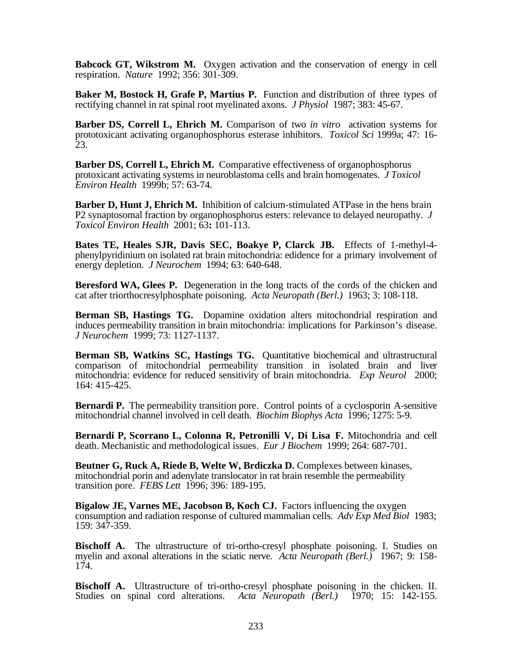**Babcock GT, Wikstrom M.** Oxygen activation and the conservation of energy in cell respiration. *Nature* 1992; 356: 301-309.

**Baker M, Bostock H, Grafe P, Martius P.** Function and distribution of three types of rectifying channel in rat spinal root myelinated axons. *J Physiol* 1987; 383: 45-67.

**Barber DS, Correll L, Ehrich M.** Comparison of two *in vitro* activation systems for prototoxicant activating organophosphorus esterase inhibitors. *Toxicol Sci* 1999a; 47: 16- 23.

**Barber DS, Correll L, Ehrich M.** Comparative effectiveness of organophosphorus protoxicant activating systems in neuroblastoma cells and brain homogenates. *J Toxicol Environ Health* 1999b; 57: 63-74.

**Barber D, Hunt J, Ehrich M.** Inhibition of calcium-stimulated ATPase in the hens brain P2 synaptosomal fraction by organophosphorus esters: relevance to delayed neuropathy. *J Toxicol Environ Health* 2001; 63**:** 101-113.

**Bates TE, Heales SJR, Davis SEC, Boakye P, Clarck JB.** Effects of 1-methyl-4 phenylpyridinium on isolated rat brain mitochondria: edidence for a primary involvement of energy depletion. *J Neurochem* 1994; 63: 640-648.

**Beresford WA, Glees P.** Degeneration in the long tracts of the cords of the chicken and cat after triorthocresylphosphate poisoning. *Acta Neuropath (Berl.)* 1963; 3: 108-118.

**Berman SB, Hastings TG.** Dopamine oxidation alters mitochondrial respiration and induces permeability transition in brain mitochondria: implications for Parkinson's disease. *J Neurochem* 1999; 73: 1127-1137.

**Berman SB, Watkins SC, Hastings TG.** Quantitative biochemical and ultrastructural comparison of mitochondrial permeability transition in isolated brain and liver mitochondria: evidence for reduced sensitivity of brain mitochondria. *Exp Neurol* 2000; 164: 415-425.

**Bernardi P.** The permeability transition pore. Control points of a cyclosporin A-sensitive mitochondrial channel involved in cell death. *Biochim Biophys Acta* 1996; 1275: 5-9.

**Bernardi P, Scorrano L, Colonna R, Petronilli V, Di Lisa F.** Mitochondria and cell death. Mechanistic and methodological issues. *Eur J Biochem* 1999; 264: 687-701.

**Beutner G, Ruck A, Riede B, Welte W, Brdiczka D.** Complexes between kinases, mitochondrial porin and adenylate translocator in rat brain resemble the permeability transition pore. *FEBS Lett* 1996; 396: 189-195.

**Bigalow JE, Varnes ME, Jacobson B, Koch CJ.** Factors influencing the oxygen consumption and radiation response of cultured mammalian cells. *Adv Exp Med Biol* 1983; 159: 347-359.

**Bischoff A.** The ultrastructure of tri-ortho-cresyl phosphate poisoning. I. Studies on myelin and axonal alterations in the sciatic nerve. *Acta Neuropath (Berl.)* 1967; 9: 158- 174.

**Bischoff A.** Ultrastructure of tri-ortho-cresyl phosphate poisoning in the chicken. II. Studies on spinal cord alterations. *Acta Neuropath (Berl.)* 1970; 15: 142-155.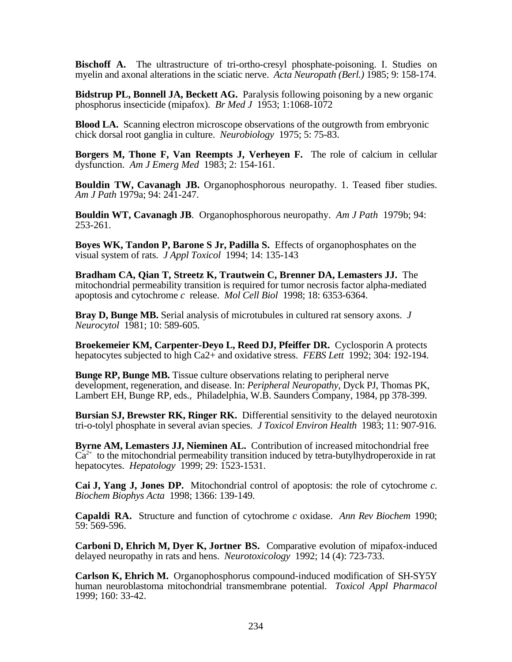**Bischoff A.** The ultrastructure of tri-ortho-cresyl phosphate-poisoning. I. Studies on myelin and axonal alterations in the sciatic nerve. *Acta Neuropath (Berl.)* 1985; 9: 158-174.

**Bidstrup PL, Bonnell JA, Beckett AG.** Paralysis following poisoning by a new organic phosphorus insecticide (mipafox). *Br Med J* 1953; 1:1068-1072

**Blood LA.** Scanning electron microscope observations of the outgrowth from embryonic chick dorsal root ganglia in culture. *Neurobiology* 1975; 5: 75-83.

**Borgers M, Thone F, Van Reempts J, Verheyen F.** The role of calcium in cellular dysfunction. *Am J Emerg Med* 1983; 2: 154-161.

**Bouldin TW, Cavanagh JB.** Organophosphorous neuropathy. 1. Teased fiber studies. *Am J Path* 1979a; 94: 241-247.

**Bouldin WT, Cavanagh JB**. Organophosphorous neuropathy. *Am J Path* 1979b; 94: 253-261.

**Boyes WK, Tandon P, Barone S Jr, Padilla S.** Effects of organophosphates on the visual system of rats. *J Appl Toxicol* 1994; 14: 135-143

**Bradham CA, Qian T, Streetz K, Trautwein C, Brenner DA, Lemasters JJ.** The mitochondrial permeability transition is required for tumor necrosis factor alpha-mediated apoptosis and cytochrome *c* release. *Mol Cell Biol* 1998; 18: 6353-6364.

**Bray D, Bunge MB.** Serial analysis of microtubules in cultured rat sensory axons. *J Neurocytol* 1981; 10: 589-605.

**Broekemeier KM, Carpenter-Deyo L, Reed DJ, Pfeiffer DR.** Cyclosporin A protects hepatocytes subjected to high Ca2+ and oxidative stress. *FEBS Lett* 1992; 304: 192-194.

**Bunge RP, Bunge MB.** Tissue culture observations relating to peripheral nerve development, regeneration, and disease. In: *Peripheral Neuropathy,* Dyck PJ, Thomas PK, Lambert EH, Bunge RP, eds., Philadelphia, W.B. Saunders Company, 1984, pp 378-399.

**Bursian SJ, Brewster RK, Ringer RK.** Differential sensitivity to the delayed neurotoxin tri-o-tolyl phosphate in several avian species. *J Toxicol Environ Health* 1983; 11: 907-916.

**Byrne AM, Lemasters JJ, Nieminen AL.** Contribution of increased mitochondrial free  $Ca<sup>2+</sup>$  to the mitochondrial permeability transition induced by tetra-butylhydroperoxide in rat hepatocytes. *Hepatology* 1999; 29: 1523-1531.

**Cai J, Yang J, Jones DP.** Mitochondrial control of apoptosis: the role of cytochrome *c*. *Biochem Biophys Acta* 1998; 1366: 139-149.

**Capaldi RA.** Structure and function of cytochrome *c* oxidase. *Ann Rev Biochem* 1990; 59: 569-596.

**Carboni D, Ehrich M, Dyer K, Jortner BS.** Comparative evolution of mipafox-induced delayed neuropathy in rats and hens. *Neurotoxicology* 1992; 14 (4): 723-733.

**Carlson K, Ehrich M.** Organophosphorus compound-induced modification of SH-SY5Y human neuroblastoma mitochondrial transmembrane potential. *Toxicol Appl Pharmacol* 1999; 160: 33-42.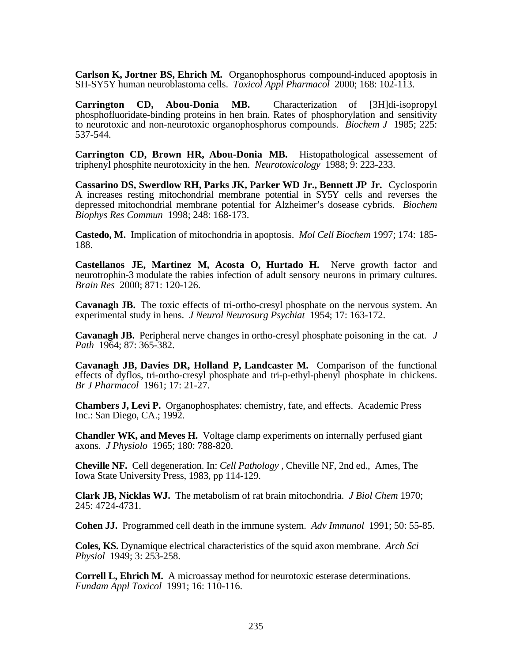**Carlson K, Jortner BS, Ehrich M.** Organophosphorus compound-induced apoptosis in SH-SY5Y human neuroblastoma cells. *Toxicol Appl Pharmacol* 2000; 168: 102-113.

**Carrington CD, Abou-Donia MB.** Characterization of [3H]di-isopropyl phosphofluoridate-binding proteins in hen brain. Rates of phosphorylation and sensitivity to neurotoxic and non-neurotoxic organophosphorus compounds. *Biochem J* 1985; 225: 537-544.

**Carrington CD, Brown HR, Abou-Donia MB.** Histopathological assessement of triphenyl phosphite neurotoxicity in the hen. *Neurotoxicology* 1988; 9: 223-233.

**Cassarino DS, Swerdlow RH, Parks JK, Parker WD Jr., Bennett JP Jr.** Cyclosporin A increases resting mitochondrial membrane potential in SY5Y cells and reverses the depressed mitochondrial membrane potential for Alzheimer's dosease cybrids. *Biochem Biophys Res Commun* 1998; 248: 168-173.

**Castedo, M.** Implication of mitochondria in apoptosis. *Mol Cell Biochem* 1997; 174: 185- 188.

**Castellanos JE, Martinez M, Acosta O, Hurtado H.** Nerve growth factor and neurotrophin-3 modulate the rabies infection of adult sensory neurons in primary cultures. *Brain Res* 2000; 871: 120-126.

**Cavanagh JB.** The toxic effects of tri-ortho-cresyl phosphate on the nervous system. An experimental study in hens. *J Neurol Neurosurg Psychiat* 1954; 17: 163-172.

**Cavanagh JB.** Peripheral nerve changes in ortho-cresyl phosphate poisoning in the cat. *J Path* 1964; 87: 365-382.

**Cavanagh JB, Davies DR, Holland P, Landcaster M.** Comparison of the functional effects of dyflos, tri-ortho-cresyl phosphate and tri-p-ethyl-phenyl phosphate in chickens. *Br J Pharmacol* 1961; 17: 21-27.

**Chambers J, Levi P.** Organophosphates: chemistry, fate, and effects. Academic Press Inc.: San Diego, CA.; 1992.

**Chandler WK, and Meves H.** Voltage clamp experiments on internally perfused giant axons. *J Physiolo* 1965; 180: 788-820.

**Cheville NF.** Cell degeneration. In: *Cell Pathology ,* Cheville NF, 2nd ed., Ames, The Iowa State University Press, 1983, pp 114-129.

**Clark JB, Nicklas WJ.** The metabolism of rat brain mitochondria. *J Biol Chem* 1970; 245: 4724-4731.

**Cohen JJ.** Programmed cell death in the immune system. *Adv Immunol* 1991; 50: 55-85.

**Coles, KS.** Dynamique electrical characteristics of the squid axon membrane. *Arch Sci Physiol* 1949; 3: 253-258.

**Correll L, Ehrich M.** A microassay method for neurotoxic esterase determinations. *Fundam Appl Toxicol* 1991; 16: 110-116.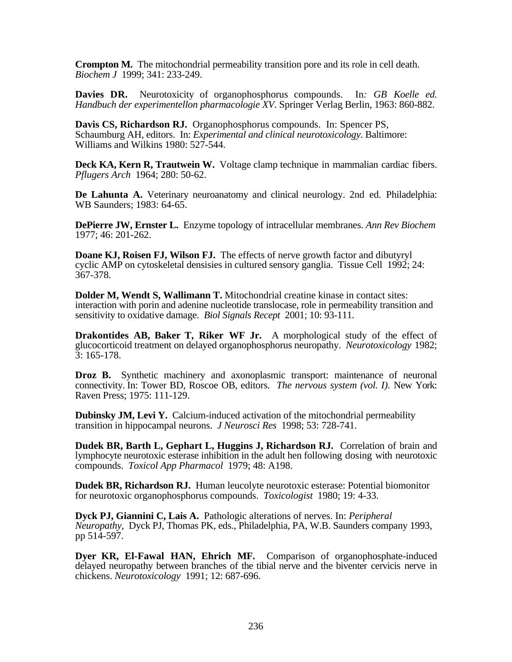**Crompton M.** The mitochondrial permeability transition pore and its role in cell death. *Biochem J* 1999; 341: 233-249.

**Davies DR.** Neurotoxicity of organophosphorus compounds. In*: GB Koelle ed. Handbuch der experimentellon pharmacologie XV*. Springer Verlag Berlin, 1963: 860-882.

**Davis CS, Richardson RJ.** Organophosphorus compounds. In: Spencer PS, Schaumburg AH, editors. In: *Experimental and clinical neurotoxicology*. Baltimore: Williams and Wilkins 1980: 527-544.

**Deck KA, Kern R, Trautwein W.** Voltage clamp technique in mammalian cardiac fibers. *Pflugers Arch* 1964; 280: 50-62.

**De Lahunta A.** Veterinary neuroanatomy and clinical neurology. 2nd ed. Philadelphia: WB Saunders; 1983: 64-65.

**DePierre JW, Ernster L.** Enzyme topology of intracellular membranes. *Ann Rev Biochem* 1977; 46: 201-262.

**Doane KJ, Roisen FJ, Wilson FJ.** The effects of nerve growth factor and dibutyryl cyclic AMP on cytoskeletal densisies in cultured sensory ganglia. Tissue Cell 1992; 24: 367-378.

**Dolder M, Wendt S, Wallimann T.** Mitochondrial creatine kinase in contact sites: interaction with porin and adenine nucleotide translocase, role in permeability transition and sensitivity to oxidative damage. *Biol Signals Recept* 2001; 10: 93-111.

**Drakontides AB, Baker T, Riker WF Jr.** A morphological study of the effect of glucocorticoid treatment on delayed organophosphorus neuropathy. *Neurotoxicology* 1982;  $3:165-178$ .

**Droz B.** Synthetic machinery and axonoplasmic transport: maintenance of neuronal connectivity. In: Tower BD, Roscoe OB, editors. *The nervous system (vol. I).* New York: Raven Press; 1975: 111-129.

**Dubinsky JM, Levi Y.** Calcium-induced activation of the mitochondrial permeability transition in hippocampal neurons. *J Neurosci Res* 1998; 53: 728-741.

**Dudek BR, Barth L, Gephart L, Huggins J, Richardson RJ.** Correlation of brain and lymphocyte neurotoxic esterase inhibition in the adult hen following dosing with neurotoxic compounds. *Toxicol App Pharmacol* 1979; 48: A198.

**Dudek BR, Richardson RJ.** Human leucolyte neurotoxic esterase: Potential biomonitor for neurotoxic organophosphorus compounds. *Toxicologist* 1980; 19: 4-33.

**Dyck PJ, Giannini C, Lais A.** Pathologic alterations of nerves. In: *Peripheral Neuropathy*, Dyck PJ, Thomas PK, eds., Philadelphia, PA, W.B. Saunders company 1993, pp 514-597.

**Dyer KR, El-Fawal HAN, Ehrich MF.** Comparison of organophosphate-induced delayed neuropathy between branches of the tibial nerve and the biventer cervicis nerve in chickens. *Neurotoxicology* 1991; 12: 687-696.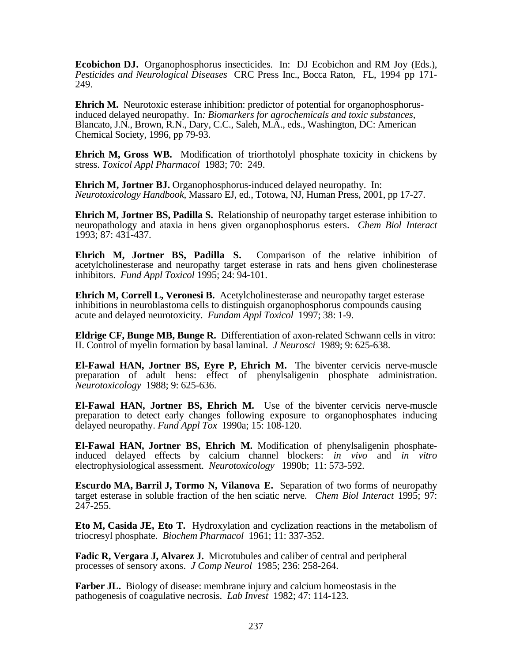**Ecobichon DJ.** Organophosphorus insecticides. In: DJ Ecobichon and RM Joy (Eds.), *Pesticides and Neurological Diseases* CRC Press Inc., Bocca Raton, FL, 1994 pp 171- 249.

**Ehrich M.** Neurotoxic esterase inhibition: predictor of potential for organophosphorusinduced delayed neuropathy. In*: Biomarkers for agrochemicals and toxic substances*, Blancato, J.N., Brown, R.N., Dary, C.C., Saleh, M.A., eds., Washington, DC: American Chemical Society, 1996, pp 79-93.

**Ehrich M, Gross WB.** Modification of triorthotolyl phosphate toxicity in chickens by stress. *Toxicol Appl Pharmacol* 1983; 70: 249.

**Ehrich M, Jortner BJ.** Organophosphorus-induced delayed neuropathy. In: *Neurotoxicology Handbook*, Massaro EJ, ed., Totowa, NJ, Human Press, 2001, pp 17-27.

**Ehrich M, Jortner BS, Padilla S.** Relationship of neuropathy target esterase inhibition to neuropathology and ataxia in hens given organophosphorus esters. *Chem Biol Interact* 1993; 87: 431-437.

**Ehrich M, Jortner BS, Padilla S.** Comparison of the relative inhibition of acetylcholinesterase and neuropathy target esterase in rats and hens given cholinesterase inhibitors. *Fund Appl Toxicol* 1995; 24: 94-101.

**Ehrich M, Correll L, Veronesi B.** Acetylcholinesterase and neuropathy target esterase inhibitions in neuroblastoma cells to distinguish organophosphorus compounds causing acute and delayed neurotoxicity. *Fundam Appl Toxicol* 1997; 38: 1-9.

**Eldrige CF, Bunge MB, Bunge R.** Differentiation of axon-related Schwann cells in vitro: II. Control of myelin formation by basal laminal. *J Neurosci* 1989; 9: 625-638.

**El-Fawal HAN, Jortner BS, Eyre P, Ehrich M.** The biventer cervicis nerve-muscle preparation of adult hens: effect of phenylsaligenin phosphate administration. *Neurotoxicology* 1988; 9: 625-636.

**El-Fawal HAN, Jortner BS, Ehrich M.** Use of the biventer cervicis nerve-muscle preparation to detect early changes following exposure to organophosphates inducing delayed neuropathy. *Fund Appl Tox* 1990a; 15: 108-120.

**El-Fawal HAN, Jortner BS, Ehrich M.** Modification of phenylsaligenin phosphateinduced delayed effects by calcium channel blockers: *in vivo* and *in vitro* electrophysiological assessment. *Neurotoxicology* 1990b; 11: 573-592.

**Escurdo MA, Barril J, Tormo N, Vilanova E.** Separation of two forms of neuropathy target esterase in soluble fraction of the hen sciatic nerve. *Chem Biol Interact* 1995; 97: 247-255.

**Eto M, Casida JE, Eto T.** Hydroxylation and cyclization reactions in the metabolism of triocresyl phosphate. *Biochem Pharmacol* 1961; 11: 337-352.

**Fadic R, Vergara J, Alvarez J.** Microtubules and caliber of central and peripheral processes of sensory axons. *J Comp Neurol* 1985; 236: 258-264.

**Farber JL.** Biology of disease: membrane injury and calcium homeostasis in the pathogenesis of coagulative necrosis. *Lab Invest* 1982; 47: 114-123.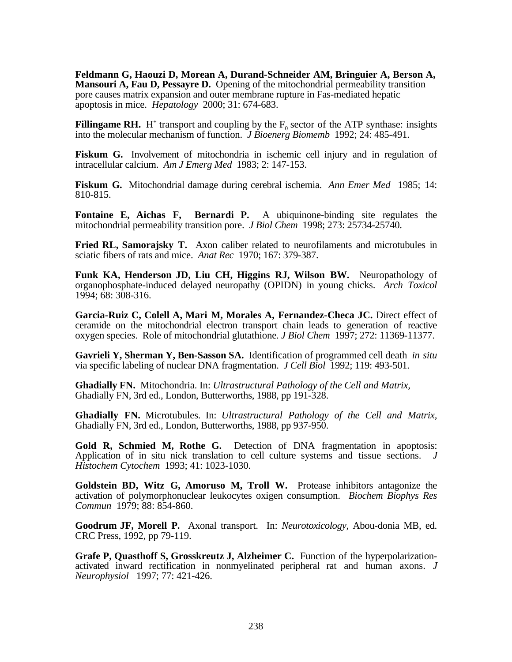**Feldmann G, Haouzi D, Morean A, Durand-Schneider AM, Bringuier A, Berson A, Mansouri A, Fau D, Pessayre D.** Opening of the mitochondrial permeability transition pore causes matrix expansion and outer membrane rupture in Fas-mediated hepatic apoptosis in mice. *Hepatology* 2000; 31: 674-683.

**Fillingame RH.** H<sup>+</sup> transport and coupling by the  $F_0$  sector of the ATP synthase: insights into the molecular mechanism of function. *J Bioenerg Biomemb* 1992; 24: 485-491.

**Fiskum G.** Involvement of mitochondria in ischemic cell injury and in regulation of intracellular calcium. *Am J Emerg Med* 1983; 2: 147-153.

**Fiskum G.** Mitochondrial damage during cerebral ischemia. *Ann Emer Med* 1985; 14: 810-815.

**Fontaine E, Aichas F, Bernardi P.** A ubiquinone-binding site regulates the mitochondrial permeability transition pore. *J Biol Chem* 1998; 273: 25734-25740.

**Fried RL, Samorajsky T.** Axon caliber related to neurofilaments and microtubules in sciatic fibers of rats and mice. *Anat Rec* 1970; 167: 379-387.

**Funk KA, Henderson JD, Liu CH, Higgins RJ, Wilson BW.** Neuropathology of organophosphate-induced delayed neuropathy (OPIDN) in young chicks. *Arch Toxicol* 1994; 68: 308-316.

**Garcia-Ruiz C, Colell A, Mari M, Morales A, Fernandez-Checa JC.** Direct effect of ceramide on the mitochondrial electron transport chain leads to generation of reactive oxygen species. Role of mitochondrial glutathione. *J Biol Chem* 1997; 272: 11369-11377.

**Gavrieli Y, Sherman Y, Ben-Sasson SA.** Identification of programmed cell death *in situ* via specific labeling of nuclear DNA fragmentation. *J Cell Biol* 1992; 119: 493-501.

**Ghadially FN.** Mitochondria. In: *Ultrastructural Pathology of the Cell and Matrix,* Ghadially FN, 3rd ed., London, Butterworths, 1988, pp 191-328.

**Ghadially FN.** Microtubules. In: *Ultrastructural Pathology of the Cell and Matrix,* Ghadially FN, 3rd ed., London, Butterworths, 1988, pp 937-950.

**Gold R, Schmied M, Rothe G.** Detection of DNA fragmentation in apoptosis: Application of in situ nick translation to cell culture systems and tissue sections. *J Histochem Cytochem* 1993; 41: 1023-1030.

**Goldstein BD, Witz G, Amoruso M, Troll W.** Protease inhibitors antagonize the activation of polymorphonuclear leukocytes oxigen consumption. *Biochem Biophys Res Commun* 1979; 88: 854-860.

**Goodrum JF, Morell P.** Axonal transport. In: *Neurotoxicology*, Abou-donia MB, ed. CRC Press, 1992, pp 79-119.

**Grafe P, Quasthoff S, Grosskreutz J, Alzheimer C.** Function of the hyperpolarizationactivated inward rectification in nonmyelinated peripheral rat and human axons. *J Neurophysiol* 1997; 77: 421-426.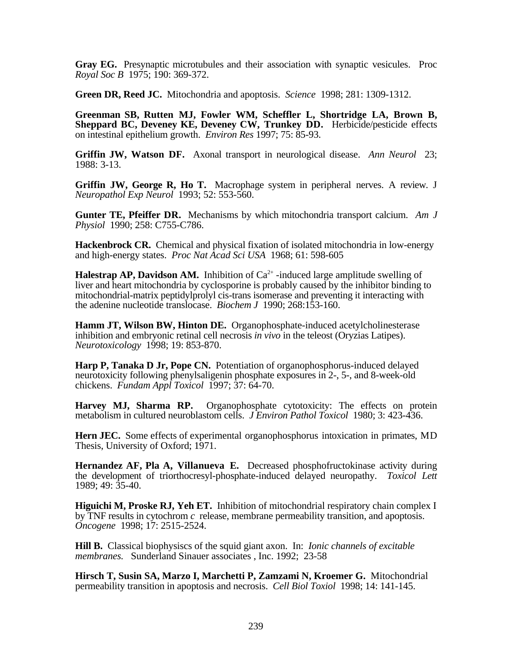**Gray EG.** Presynaptic microtubules and their association with synaptic vesicules. Proc *Royal Soc B* 1975; 190: 369-372.

**Green DR, Reed JC.** Mitochondria and apoptosis. *Science* 1998; 281: 1309-1312.

**Greenman SB, Rutten MJ, Fowler WM, Scheffler L, Shortridge LA, Brown B, Sheppard BC, Deveney KE, Deveney CW, Trunkey DD.** Herbicide/pesticide effects on intestinal epithelium growth. *Environ Res* 1997; 75: 85-93.

**Griffin JW, Watson DF.** Axonal transport in neurological disease. *Ann Neurol* 23; 1988: 3-13.

Griffin JW, George R, Ho T. Macrophage system in peripheral nerves. A review. J *Neuropathol Exp Neurol* 1993; 52: 553-560.

**Gunter TE, Pfeiffer DR.** Mechanisms by which mitochondria transport calcium. *Am J Physiol* 1990; 258: C755-C786.

**Hackenbrock CR.** Chemical and physical fixation of isolated mitochondria in low-energy and high-energy states. *Proc Nat Acad Sci USA* 1968; 61: 598-605

**Halestrap AP, Davidson AM.** Inhibition of  $Ca^{2+}$ -induced large amplitude swelling of liver and heart mitochondria by cyclosporine is probably caused by the inhibitor binding to mitochondrial-matrix peptidylprolyl cis-trans isomerase and preventing it interacting with the adenine nucleotide translocase. *Biochem J* 1990; 268:153-160.

**Hamm JT, Wilson BW, Hinton DE.** Organophosphate-induced acetylcholinesterase inhibition and embryonic retinal cell necrosis *in vivo* in the teleost (Oryzias Latipes). *Neurotoxicology* 1998; 19: 853-870.

**Harp P, Tanaka D Jr, Pope CN.** Potentiation of organophosphorus-induced delayed neurotoxicity following phenylsaligenin phosphate exposures in 2-, 5-, and 8-week-old chickens. *Fundam Appl Toxicol* 1997; 37: 64-70.

**Harvey MJ, Sharma RP.** Organophosphate cytotoxicity: The effects on protein metabolism in cultured neuroblastom cells. *J Environ Pathol Toxicol* 1980; 3: 423-436.

**Hern JEC.** Some effects of experimental organophosphorus intoxication in primates, MD Thesis, University of Oxford; 1971.

**Hernandez AF, Pla A, Villanueva E.** Decreased phosphofructokinase activity during the development of triorthocresyl-phosphate-induced delayed neuropathy. *Toxicol Lett* 1989; 49: 35-40.

**Higuichi M, Proske RJ, Yeh ET.** Inhibition of mitochondrial respiratory chain complex I by TNF results in cytochrom *c* release, membrane permeability transition, and apoptosis. *Oncogene* 1998; 17: 2515-2524.

**Hill B.** Classical biophysiscs of the squid giant axon. In: *Ionic channels of excitable membranes.* Sunderland Sinauer associates , Inc. 1992; 23-58

**Hirsch T, Susin SA, Marzo I, Marchetti P, Zamzami N, Kroemer G.** Mitochondrial permeability transition in apoptosis and necrosis. *Cell Biol Toxiol* 1998; 14: 141-145.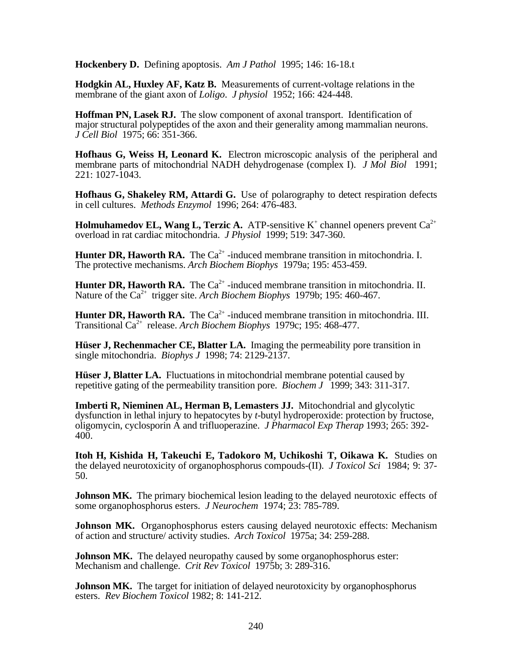**Hockenbery D.** Defining apoptosis. *Am J Pathol* 1995; 146: 16-18.t

**Hodgkin AL, Huxley AF, Katz B.** Measurements of current-voltage relations in the membrane of the giant axon of *Loligo*. *J physiol* 1952; 166: 424-448.

**Hoffman PN, Lasek RJ.** The slow component of axonal transport. Identification of major structural polypeptides of the axon and their generality among mammalian neurons. *J Cell Biol* 1975; 66: 351-366.

**Hofhaus G, Weiss H, Leonard K.** Electron microscopic analysis of the peripheral and membrane parts of mitochondrial NADH dehydrogenase (complex I). *J Mol Biol* 1991; 221: 1027-1043.

**Hofhaus G, Shakeley RM, Attardi G.** Use of polarography to detect respiration defects in cell cultures. *Methods Enzymol* 1996; 264: 476-483.

**Holmuhamedov EL, Wang L, Terzic A.** ATP-sensitive  $K^+$  channel openers prevent  $Ca^{2+}$ overload in rat cardiac mitochondria. *J Physiol* 1999; 519: 347-360.

**Hunter DR, Haworth RA.** The  $Ca^{2+}$ -induced membrane transition in mitochondria. I. The protective mechanisms. *Arch Biochem Biophys* 1979a; 195: 453-459.

**Hunter DR, Haworth RA.** The  $Ca^{2+}$ -induced membrane transition in mitochondria. II. Nature of the Ca<sup>2+</sup> trigger site. *Arch Biochem Biophys* 1979b; 195: 460-467.

**Hunter DR, Haworth RA.** The  $Ca^{2+}$ -induced membrane transition in mitochondria. III. Transitional Ca2+ release. *Arch Biochem Biophys* 1979c; 195: 468-477.

**Hüser J, Rechenmacher CE, Blatter LA.** Imaging the permeability pore transition in single mitochondria. *Biophys J* 1998; 74: 2129-2137.

**Hüser J, Blatter LA.** Fluctuations in mitochondrial membrane potential caused by repetitive gating of the permeability transition pore. *Biochem J* 1999; 343: 311-317.

**Imberti R, Nieminen AL, Herman B, Lemasters JJ.** Mitochondrial and glycolytic dysfunction in lethal injury to hepatocytes by *t*-butyl hydroperoxide: protection by fructose, oligomycin, cyclosporin A and trifluoperazine. *J Pharmacol Exp Therap* 1993; 265: 392- 400.

**Itoh H, Kishida H, Takeuchi E, Tadokoro M, Uchikoshi T, Oikawa K.** Studies on the delayed neurotoxicity of organophosphorus compouds-(II). *J Toxicol Sci* 1984; 9: 37- 50.

**Johnson MK.** The primary biochemical lesion leading to the delayed neurotoxic effects of some organophosphorus esters. *J Neurochem* 1974; 23: 785-789.

**Johnson MK.** Organophosphorus esters causing delayed neurotoxic effects: Mechanism of action and structure/ activity studies. *Arch Toxicol* 1975a; 34: 259-288.

**Johnson MK.** The delayed neuropathy caused by some organophosphorus ester: Mechanism and challenge. *Crit Rev Toxicol* 1975b; 3: 289-316.

**Johnson MK.** The target for initiation of delayed neurotoxicity by organophosphorus esters. *Rev Biochem Toxicol* 1982; 8: 141-212.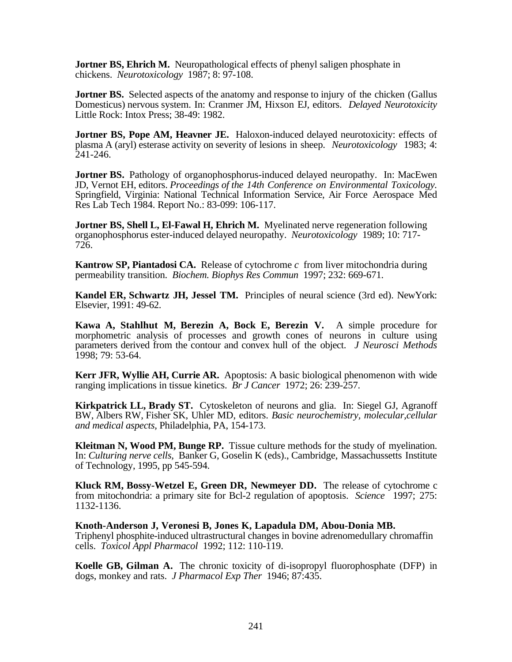**Jortner BS, Ehrich M.** Neuropathological effects of phenyl saligen phosphate in chickens. *Neurotoxicology* 1987; 8: 97-108.

**Jortner BS.** Selected aspects of the anatomy and response to injury of the chicken (Gallus Domesticus) nervous system. In: Cranmer JM, Hixson EJ, editors. *Delayed Neurotoxicity* Little Rock: Intox Press; 38-49: 1982.

**Jortner BS, Pope AM, Heavner JE.** Haloxon-induced delayed neurotoxicity: effects of plasma A (aryl) esterase activity on severity of lesions in sheep. *Neurotoxicology* 1983; 4: 241-246.

**Jortner BS.** Pathology of organophosphorus-induced delayed neuropathy. In: MacEwen JD, Vernot EH, editors. *Proceedings of the 14th Conference on Environmental Toxicology.* Springfield, Virginia: National Technical Information Service, Air Force Aerospace Med Res Lab Tech 1984. Report No.: 83-099: 106-117.

**Jortner BS, Shell L, El-Fawal H, Ehrich M.** Myelinated nerve regeneration following organophosphorus ester-induced delayed neuropathy. *Neurotoxicology* 1989; 10: 717- 726.

**Kantrow SP, Piantadosi CA.** Release of cytochrome *c* from liver mitochondria during permeability transition. *Biochem. Biophys Res Commun* 1997; 232: 669-671.

**Kandel ER, Schwartz JH, Jessel TM.** Principles of neural science (3rd ed). NewYork: Elsevier, 1991: 49-62.

**Kawa A, Stahlhut M, Berezin A, Bock E, Berezin V.** A simple procedure for morphometric analysis of processes and growth cones of neurons in culture using parameters derived from the contour and convex hull of the object. *J Neurosci Methods* 1998; 79: 53-64.

**Kerr JFR, Wyllie AH, Currie AR.** Apoptosis: A basic biological phenomenon with wide ranging implications in tissue kinetics. *Br J Cancer* 1972; 26: 239-257.

**Kirkpatrick LL, Brady ST.** Cytoskeleton of neurons and glia. In: Siegel GJ, Agranoff BW, Albers RW, Fisher SK, Uhler MD, editors. *Basic neurochemistry, molecular,cellular and medical aspects,* Philadelphia, PA, 154-173.

**Kleitman N, Wood PM, Bunge RP.** Tissue culture methods for the study of myelination. In: *Culturing nerve cells,* Banker G, Goselin K (eds)., Cambridge, Massachussetts Institute of Technology, 1995, pp 545-594.

**Kluck RM, Bossy-Wetzel E, Green DR, Newmeyer DD.** The release of cytochrome c from mitochondria: a primary site for Bcl-2 regulation of apoptosis. *Science* 1997; 275: 1132-1136.

**Knoth-Anderson J, Veronesi B, Jones K, Lapadula DM, Abou-Donia MB.** Triphenyl phosphite-induced ultrastructural changes in bovine adrenomedullary chromaffin cells. *Toxicol Appl Pharmacol* 1992; 112: 110-119.

**Koelle GB, Gilman A.** The chronic toxicity of di-isopropyl fluorophosphate (DFP) in dogs, monkey and rats. *J Pharmacol Exp Ther* 1946; 87:435.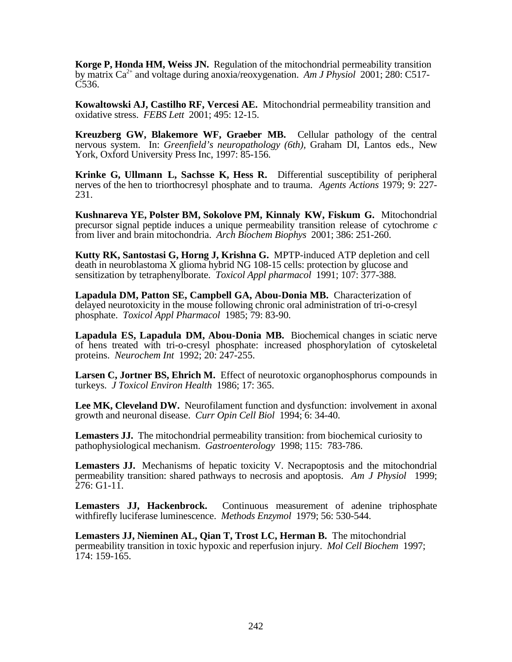**Korge P, Honda HM, Weiss JN.** Regulation of the mitochondrial permeability transition by matrix Ca2+ and voltage during anoxia/reoxygenation. *Am J Physiol* 2001; 280: C517- C536.

**Kowaltowski AJ, Castilho RF, Vercesi AE.** Mitochondrial permeability transition and oxidative stress. *FEBS Lett* 2001; 495: 12-15.

**Kreuzberg GW, Blakemore WF, Graeber MB.** Cellular pathology of the central nervous system. In: *Greenfield's neuropathology (6th),* Graham DI, Lantos eds., New York, Oxford University Press Inc, 1997: 85-156.

**Krinke G, Ullmann L, Sachsse K, Hess R.** Differential susceptibility of peripheral nerves of the hen to triorthocresyl phosphate and to trauma. *Agents Actions* 1979; 9: 227- 231.

**Kushnareva YE, Polster BM, Sokolove PM, Kinnaly KW, Fiskum G.** Mitochondrial precursor signal peptide induces a unique permeability transition release of cytochrome *c* from liver and brain mitochondria. *Arch Biochem Biophys* 2001; 386: 251-260.

**Kutty RK, Santostasi G, Horng J, Krishna G.** MPTP-induced ATP depletion and cell death in neuroblastoma X glioma hybrid NG 108-15 cells: protection by glucose and sensitization by tetraphenylborate. *Toxicol Appl pharmacol* 1991; 107: 377-388.

**Lapadula DM, Patton SE, Campbell GA, Abou-Donia MB.** Characterization of delayed neurotoxicity in the mouse following chronic oral administration of tri-o-cresyl phosphate. *Toxicol Appl Pharmacol* 1985; 79: 83-90.

**Lapadula ES, Lapadula DM, Abou-Donia MB.** Biochemical changes in sciatic nerve of hens treated with tri-o-cresyl phosphate: increased phosphorylation of cytoskeletal proteins. *Neurochem Int* 1992; 20: 247-255.

**Larsen C, Jortner BS, Ehrich M.** Effect of neurotoxic organophosphorus compounds in turkeys. *J Toxicol Environ Health* 1986; 17: 365.

**Lee MK, Cleveland DW.** Neurofilament function and dysfunction: involvement in axonal growth and neuronal disease. *Curr Opin Cell Biol* 1994; 6: 34-40.

**Lemasters JJ.** The mitochondrial permeability transition: from biochemical curiosity to pathophysiological mechanism. *Gastroenterology* 1998; 115: 783-786.

**Lemasters JJ.** Mechanisms of hepatic toxicity V. Necrapoptosis and the mitochondrial permeability transition: shared pathways to necrosis and apoptosis. *Am J Physiol* 1999; 276: G1-11.

Lemasters JJ, Hackenbrock. Continuous measurement of adenine triphosphate withfirefly luciferase luminescence. *Methods Enzymol* 1979; 56: 530-544.

**Lemasters JJ, Nieminen AL, Qian T, Trost LC, Herman B.** The mitochondrial permeability transition in toxic hypoxic and reperfusion injury. *Mol Cell Biochem* 1997; 174: 159-165.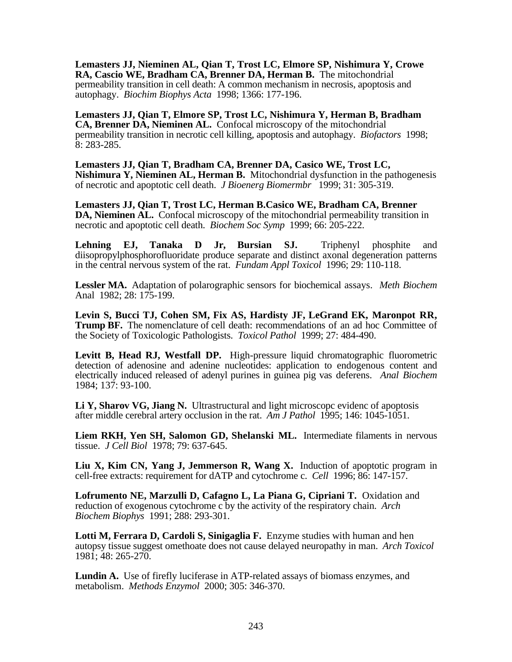**Lemasters JJ, Nieminen AL, Qian T, Trost LC, Elmore SP, Nishimura Y, Crowe RA, Cascio WE, Bradham CA, Brenner DA, Herman B.** The mitochondrial permeability transition in cell death: A common mechanism in necrosis, apoptosis and autophagy. *Biochim Biophys Acta* 1998; 1366: 177-196.

**Lemasters JJ, Qian T, Elmore SP, Trost LC, Nishimura Y, Herman B, Bradham CA, Brenner DA, Nieminen AL.** Confocal microscopy of the mitochondrial permeability transition in necrotic cell killing, apoptosis and autophagy. *Biofactors* 1998; 8: 283-285.

**Lemasters JJ, Qian T, Bradham CA, Brenner DA, Casico WE, Trost LC, Nishimura Y, Nieminen AL, Herman B.** Mitochondrial dysfunction in the pathogenesis of necrotic and apoptotic cell death. *J Bioenerg Biomermbr* 1999; 31: 305-319.

**Lemasters JJ, Qian T, Trost LC, Herman B.Casico WE, Bradham CA, Brenner DA, Nieminen AL.** Confocal microscopy of the mitochondrial permeability transition in necrotic and apoptotic cell death. *Biochem Soc Symp* 1999; 66: 205-222.

**Lehning EJ, Tanaka D Jr, Bursian SJ.** Triphenyl phosphite and diisopropylphosphorofluoridate produce separate and distinct axonal degeneration patterns in the central nervous system of the rat. *Fundam Appl Toxicol* 1996; 29: 110-118.

**Lessler MA.** Adaptation of polarographic sensors for biochemical assays. *Meth Biochem* Anal 1982; 28: 175-199.

**Levin S, Bucci TJ, Cohen SM, Fix AS, Hardisty JF, LeGrand EK, Maronpot RR, Trump BF.** The nomenclature of cell death: recommendations of an ad hoc Committee of the Society of Toxicologic Pathologists. *Toxicol Pathol* 1999; 27: 484-490.

**Levitt B, Head RJ, Westfall DP.** High-pressure liquid chromatographic fluorometric detection of adenosine and adenine nucleotides: application to endogenous content and electrically induced released of adenyl purines in guinea pig vas deferens. *Anal Biochem* 1984; 137: 93-100.

**Li Y, Sharov VG, Jiang N.** Ultrastructural and light microscopc evidenc of apoptosis after middle cerebral artery occlusion in the rat. *Am J Pathol* 1995; 146: 1045-1051.

**Liem RKH, Yen SH, Salomon GD, Shelanski ML.** Intermediate filaments in nervous tissue. *J Cell Biol* 1978; 79: 637-645.

**Liu X, Kim CN, Yang J, Jemmerson R, Wang X.** Induction of apoptotic program in cell-free extracts: requirement for dATP and cytochrome c. *Cell* 1996; 86: 147-157.

**Lofrumento NE, Marzulli D, Cafagno L, La Piana G, Cipriani T.** Oxidation and reduction of exogenous cytochrome c by the activity of the respiratory chain. *Arch Biochem Biophys* 1991; 288: 293-301.

**Lotti M, Ferrara D, Cardoli S, Sinigaglia F.** Enzyme studies with human and hen autopsy tissue suggest omethoate does not cause delayed neuropathy in man. *Arch Toxicol* 1981; 48: 265-270.

**Lundin A.** Use of firefly luciferase in ATP-related assays of biomass enzymes, and metabolism. *Methods Enzymol* 2000; 305: 346-370.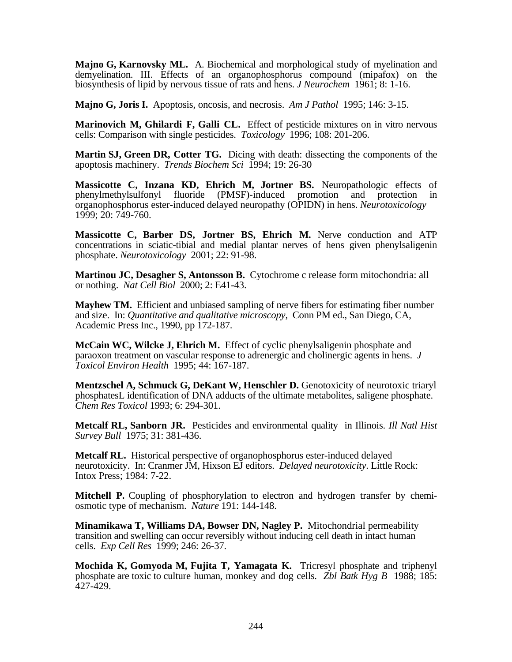**Majno G, Karnovsky ML.** A. Biochemical and morphological study of myelination and demyelination. III. Effects of an organophosphorus compound (mipafox) on the biosynthesis of lipid by nervous tissue of rats and hens. *J Neurochem* 1961; 8: 1-16.

**Majno G, Joris I.** Apoptosis, oncosis, and necrosis. *Am J Pathol* 1995; 146: 3-15.

**Marinovich M, Ghilardi F, Galli CL.** Effect of pesticide mixtures on in vitro nervous cells: Comparison with single pesticides. *Toxicology* 1996; 108: 201-206.

**Martin SJ, Green DR, Cotter TG.** Dicing with death: dissecting the components of the apoptosis machinery. *Trends Biochem Sci* 1994; 19: 26-30

**Massicotte C, Inzana KD, Ehrich M, Jortner BS.** Neuropathologic effects of phenylmethylsulfonyl fluoride (PMSF)-induced promotion and protection in organophosphorus ester-induced delayed neuropathy (OPIDN) in hens. *Neurotoxicology* 1999; 20: 749-760.

**Massicotte C, Barber DS, Jortner BS, Ehrich M.** Nerve conduction and ATP concentrations in sciatic-tibial and medial plantar nerves of hens given phenylsaligenin phosphate. *Neurotoxicology* 2001; 22: 91-98.

**Martinou JC, Desagher S, Antonsson B.** Cytochrome c release form mitochondria: all or nothing. *Nat Cell Biol* 2000; 2: E41-43.

**Mayhew TM.** Efficient and unbiased sampling of nerve fibers for estimating fiber number and size. In: *Quantitative and qualitative microscopy*, Conn PM ed., San Diego, CA, Academic Press Inc., 1990, pp 172-187.

**McCain WC, Wilcke J, Ehrich M.** Effect of cyclic phenylsaligenin phosphate and paraoxon treatment on vascular response to adrenergic and cholinergic agents in hens. *J Toxicol Environ Health* 1995; 44: 167-187.

**Mentzschel A, Schmuck G, DeKant W, Henschler D.** Genotoxicity of neurotoxic triaryl phosphatesL identification of DNA adducts of the ultimate metabolites, saligene phosphate. *Chem Res Toxicol* 1993; 6: 294-301.

**Metcalf RL, Sanborn JR.** Pesticides and environmental quality in Illinois. *Ill Natl Hist Survey Bull* 1975; 31: 381-436.

**Metcalf RL.** Historical perspective of organophosphorus ester-induced delayed neurotoxicity. In: Cranmer JM, Hixson EJ editors. *Delayed neurotoxicity*. Little Rock: Intox Press; 1984: 7-22.

**Mitchell P.** Coupling of phosphorylation to electron and hydrogen transfer by chemiosmotic type of mechanism. *Nature* 191: 144-148.

**Minamikawa T, Williams DA, Bowser DN, Nagley P.** Mitochondrial permeability transition and swelling can occur reversibly without inducing cell death in intact human cells. *Exp Cell Res* 1999; 246: 26-37.

**Mochida K, Gomyoda M, Fujita T, Yamagata K.** Tricresyl phosphate and triphenyl phosphate are toxic to culture human, monkey and dog cells. *Zbl Batk Hyg B* 1988; 185: 427-429.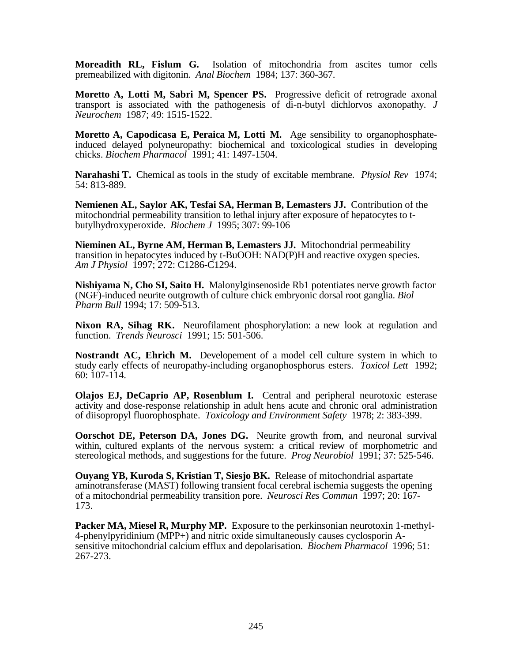**Moreadith RL, Fislum G.** Isolation of mitochondria from ascites tumor cells premeabilized with digitonin. *Anal Biochem* 1984; 137: 360-367.

**Moretto A, Lotti M, Sabri M, Spencer PS.** Progressive deficit of retrograde axonal transport is associated with the pathogenesis of di-n-butyl dichlorvos axonopathy*. J Neurochem* 1987; 49: 1515-1522.

**Moretto A, Capodicasa E, Peraica M, Lotti M.** Age sensibility to organophosphateinduced delayed polyneuropathy: biochemical and toxicological studies in developing chicks. *Biochem Pharmacol* 1991; 41: 1497-1504.

**Narahashi T.** Chemical as tools in the study of excitable membrane. *Physiol Rev* 1974; 54: 813-889.

**Nemienen AL, Saylor AK, Tesfai SA, Herman B, Lemasters JJ.** Contribution of the mitochondrial permeability transition to lethal injury after exposure of hepatocytes to tbutylhydroxyperoxide. *Biochem J* 1995; 307: 99-106

**Nieminen AL, Byrne AM, Herman B, Lemasters JJ.** Mitochondrial permeability transition in hepatocytes induced by t-BuOOH: NAD(P)H and reactive oxygen species. *Am J Physiol* 1997; 272: C1286-C1294.

**Nishiyama N, Cho SI, Saito H.** Malonylginsenoside Rb1 potentiates nerve growth factor (NGF)-induced neurite outgrowth of culture chick embryonic dorsal root ganglia. *Biol Pharm Bull* 1994; 17: 509-513.

**Nixon RA, Sihag RK.** Neurofilament phosphorylation: a new look at regulation and function. *Trends Neurosci* 1991; 15: 501-506.

**Nostrandt AC, Ehrich M.** Developement of a model cell culture system in which to study early effects of neuropathy-including organophosphorus esters. *Toxicol Lett* 1992; 60: 107-114.

**Olajos EJ, DeCaprio AP, Rosenblum I.** Central and peripheral neurotoxic esterase activity and dose-response relationship in adult hens acute and chronic oral administration of diisopropyl fluorophosphate. *Toxicology and Environment Safety* 1978; 2: 383-399.

**Oorschot DE, Peterson DA, Jones DG.** Neurite growth from, and neuronal survival within, cultured explants of the nervous system: a critical review of morphometric and stereological methods, and suggestions for the future. *Prog Neurobiol* 1991; 37: 525-546.

**Ouyang YB, Kuroda S, Kristian T, Siesjo BK.** Release of mitochondrial aspartate aminotransferase (MAST) following transient focal cerebral ischemia suggests the opening of a mitochondrial permeability transition pore. *Neurosci Res Commun* 1997; 20: 167- 173.

**Packer MA, Miesel R, Murphy MP.** Exposure to the perkinsonian neurotoxin 1-methyl-4-phenylpyridinium (MPP+) and nitric oxide simultaneously causes cyclosporin Asensitive mitochondrial calcium efflux and depolarisation. *Biochem Pharmacol* 1996; 51: 267-273.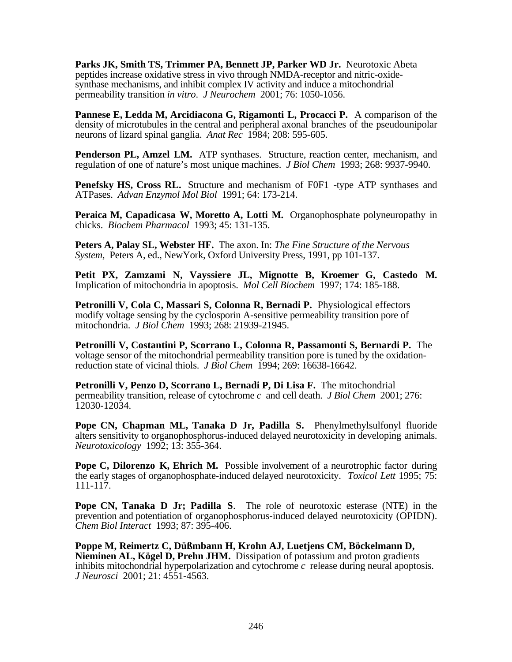**Parks JK, Smith TS, Trimmer PA, Bennett JP, Parker WD Jr.** Neurotoxic Abeta peptides increase oxidative stress in vivo through NMDA-receptor and nitric-oxidesynthase mechanisms, and inhibit complex IV activity and induce a mitochondrial permeability transition *in vitro*. *J Neurochem* 2001; 76: 1050-1056.

**Pannese E, Ledda M, Arcidiacona G, Rigamonti L, Procacci P.** A comparison of the density of microtubules in the central and peripheral axonal branches of the pseudounipolar neurons of lizard spinal ganglia. *Anat Rec* 1984; 208: 595-605.

**Penderson PL, Amzel LM.** ATP synthases. Structure, reaction center, mechanism, and regulation of one of nature's most unique machines. *J Biol Chem* 1993; 268: 9937-9940.

**Penefsky HS, Cross RL.** Structure and mechanism of FOF1 -type ATP synthases and ATPases. *Advan Enzymol Mol Biol* 1991; 64: 173-214.

**Peraica M, Capadicasa W, Moretto A, Lotti M.** Organophosphate polyneuropathy in chicks. *Biochem Pharmacol* 1993; 45: 131-135.

**Peters A, Palay SL, Webster HF.** The axon. In: *The Fine Structure of the Nervous System,* Peters A, ed., NewYork, Oxford University Press, 1991, pp 101-137.

**Petit PX, Zamzami N, Vayssiere JL, Mignotte B, Kroemer G, Castedo M.** Implication of mitochondria in apoptosis. *Mol Cell Biochem* 1997; 174: 185-188.

**Petronilli V, Cola C, Massari S, Colonna R, Bernadi P.** Physiological effectors modify voltage sensing by the cyclosporin A-sensitive permeability transition pore of mitochondria. *J Biol Chem* 1993; 268: 21939-21945.

**Petronilli V, Costantini P, Scorrano L, Colonna R, Passamonti S, Bernardi P.** The voltage sensor of the mitochondrial permeability transition pore is tuned by the oxidationreduction state of vicinal thiols. *J Biol Chem* 1994; 269: 16638-16642.

**Petronilli V, Penzo D, Scorrano L, Bernadi P, Di Lisa F.** The mitochondrial permeability transition, release of cytochrome *c* and cell death. *J Biol Chem* 2001; 276: 12030-12034.

**Pope CN, Chapman ML, Tanaka D Jr, Padilla S.** Phenylmethylsulfonyl fluoride alters sensitivity to organophosphorus-induced delayed neurotoxicity in developing animals. *Neurotoxicology* 1992; 13: 355-364.

**Pope C. Dilorenzo K. Ehrich M.** Possible involvement of a neurotrophic factor during the early stages of organophosphate-induced delayed neurotoxicity. *Toxicol Lett* 1995; 75: 111-117.

**Pope CN, Tanaka D Jr; Padilla S**. The role of neurotoxic esterase (NTE) in the prevention and potentiation of organophosphorus-induced delayed neurotoxicity (OPIDN). *Chem Biol Interact* 1993; 87: 395-406.

**Poppe M, Reimertz C, Düßmbann H, Krohn AJ, Luetjens CM, Böckelmann D, Nieminen AL, Kögel D, Prehn JHM.** Dissipation of potassium and proton gradients inhibits mitochondrial hyperpolarization and cytochrome *c* release during neural apoptosis. *J Neurosci* 2001; 21: 4551-4563.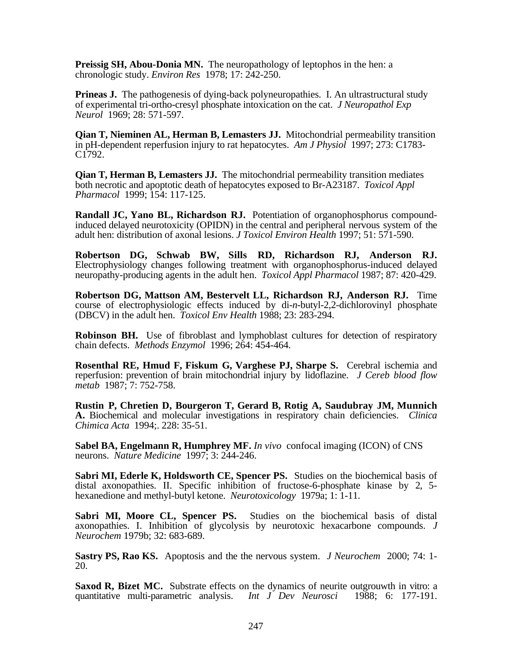**Preissig SH, Abou-Donia MN.** The neuropathology of leptophos in the hen: a chronologic study. *Environ Res* 1978; 17: 242-250.

**Prineas J.** The pathogenesis of dying-back polyneuropathies. I. An ultrastructural study of experimental tri-ortho-cresyl phosphate intoxication on the cat. *J Neuropathol Exp Neurol* 1969; 28: 571-597.

**Qian T, Nieminen AL, Herman B, Lemasters JJ.** Mitochondrial permeability transition in pH-dependent reperfusion injury to rat hepatocytes. *Am J Physiol* 1997; 273: C1783- C1792.

**Qian T, Herman B, Lemasters JJ.** The mitochondrial permeability transition mediates both necrotic and apoptotic death of hepatocytes exposed to Br-A23187. *Toxicol Appl Pharmacol* 1999; 154: 117-125.

**Randall JC, Yano BL, Richardson RJ.** Potentiation of organophosphorus compoundinduced delayed neurotoxicity (OPIDN) in the central and peripheral nervous system of the adult hen: distribution of axonal lesions. *J Toxicol Environ Health* 1997; 51: 571-590.

**Robertson DG, Schwab BW, Sills RD, Richardson RJ, Anderson RJ.** Electrophysiology changes following treatment with organophosphorus-induced delayed neuropathy-producing agents in the adult hen. *Toxicol Appl Pharmacol* 1987; 87: 420-429.

**Robertson DG, Mattson AM, Bestervelt LL, Richardson RJ, Anderson RJ.** Time course of electrophysiologic effects induced by di-*n*-butyl-2,2-dichlorovinyl phosphate (DBCV) in the adult hen. *Toxicol Env Health* 1988; 23: 283-294.

**Robinson BH.** Use of fibroblast and lymphoblast cultures for detection of respiratory chain defects. *Methods Enzymol* 1996; 264: 454-464.

**Rosenthal RE, Hmud F, Fiskum G, Varghese PJ, Sharpe S.** Cerebral ischemia and reperfusion: prevention of brain mitochondrial injury by lidoflazine. *J Cereb blood flow metab* 1987; 7: 752-758.

**Rustin P, Chretien D, Bourgeron T, Gerard B, Rotig A, Saudubray JM, Munnich A.** Biochemical and molecular investigations in respiratory chain deficiencies. *Clinica Chimica Acta* 1994;. 228: 35-51.

**Sabel BA, Engelmann R, Humphrey MF.** *In vivo* confocal imaging (ICON) of CNS neurons. *Nature Medicine* 1997; 3: 244-246.

**Sabri MI, Ederle K, Holdsworth CE, Spencer PS.** Studies on the biochemical basis of distal axonopathies. II. Specific inhibition of fructose-6-phosphate kinase by 2, 5 hexanedione and methyl-butyl ketone. *Neurotoxicology* 1979a; 1: 1-11.

Sabri MI, Moore CL, Spencer PS. Studies on the biochemical basis of distal axonopathies. I. Inhibition of glycolysis by neurotoxic hexacarbone compounds. *J Neurochem* 1979b; 32: 683-689.

**Sastry PS, Rao KS.** Apoptosis and the the nervous system. *J Neurochem* 2000; 74: 1- 20.

**Saxod R, Bizet MC.** Substrate effects on the dynamics of neurite outgrouwth in vitro: a quantitative multi-parametric analysis. *Int J Dev Neurosci* 1988; 6: 177-191.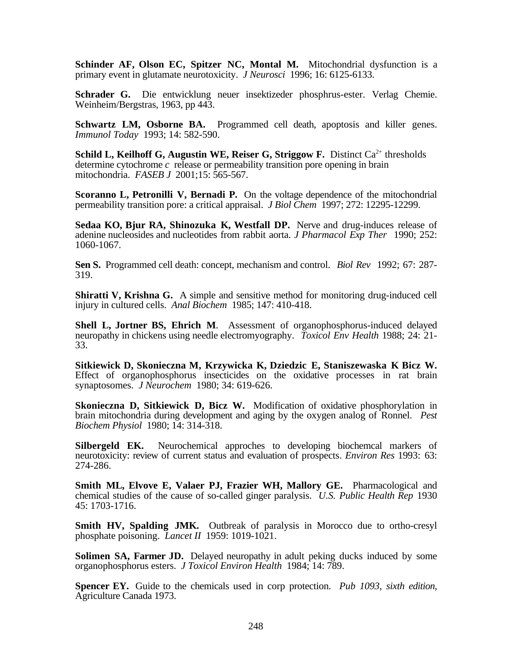Schinder AF, Olson EC, Spitzer NC, Montal M. Mitochondrial dysfunction is a primary event in glutamate neurotoxicity. *J Neurosci* 1996; 16: 6125-6133.

**Schrader G.** Die entwicklung neuer insektizeder phosphrus-ester. Verlag Chemie. Weinheim/Bergstras, 1963, pp 443.

**Schwartz LM, Osborne BA.** Programmed cell death, apoptosis and killer genes. *Immunol Today* 1993; 14: 582-590.

**Schild L, Keilhoff G, Augustin WE, Reiser G, Striggow F.** Distinct Ca<sup>2+</sup> thresholds determine cytochrome *c* release or permeability transition pore opening in brain mitochondria. *FASEB J* 2001;15: 565-567.

**Scoranno L, Petronilli V, Bernadi P.** On the voltage dependence of the mitochondrial permeability transition pore: a critical appraisal. *J Biol Chem* 1997; 272: 12295-12299.

**Sedaa KO, Bjur RA, Shinozuka K, Westfall DP.** Nerve and drug-induces release of adenine nucleosides and nucleotides from rabbit aorta. *J Pharmacol Exp Ther* 1990; 252: 1060-1067.

**Sen S.** Programmed cell death: concept, mechanism and control. *Biol Rev* 1992; 67: 287- 319.

**Shiratti V, Krishna G.** A simple and sensitive method for monitoring drug-induced cell injury in cultured cells. *Anal Biochem* 1985; 147: 410-418.

**Shell L, Jortner BS, Ehrich M**. Assessment of organophosphorus-induced delayed neuropathy in chickens using needle electromyography. *Toxicol Env Health* 1988; 24: 21- 33.

**Sitkiewick D, Skonieczna M, Krzywicka K, Dziedzic E, Staniszewaska K Bicz W.** Effect of organophosphorus insecticides on the oxidative processes in rat brain synaptosomes. *J Neurochem* 1980; 34: 619-626.

**Skonieczna D, Sitkiewick D, Bicz W.** Modification of oxidative phosphorylation in brain mitochondria during development and aging by the oxygen analog of Ronnel. *Pest Biochem Physiol* 1980; 14: 314-318.

**Silbergeld EK.** Neurochemical approches to developing biochemcal markers of neurotoxicity: review of current status and evaluation of prospects. *Environ Res* 1993: 63: 274-286.

**Smith ML, Elvove E, Valaer PJ, Frazier WH, Mallory GE.** Pharmacological and chemical studies of the cause of so-called ginger paralysis. *U.S. Public Health Rep* 1930 45: 1703-1716.

**Smith HV, Spalding JMK.** Outbreak of paralysis in Morocco due to ortho-cresyl phosphate poisoning. *Lancet II* 1959: 1019-1021.

**Solimen SA, Farmer JD.** Delayed neuropathy in adult peking ducks induced by some organophosphorus esters. *J Toxicol Environ Health* 1984; 14: 789.

**Spencer EY.** Guide to the chemicals used in corp protection. *Pub 1093, sixth edition*, Agriculture Canada 1973.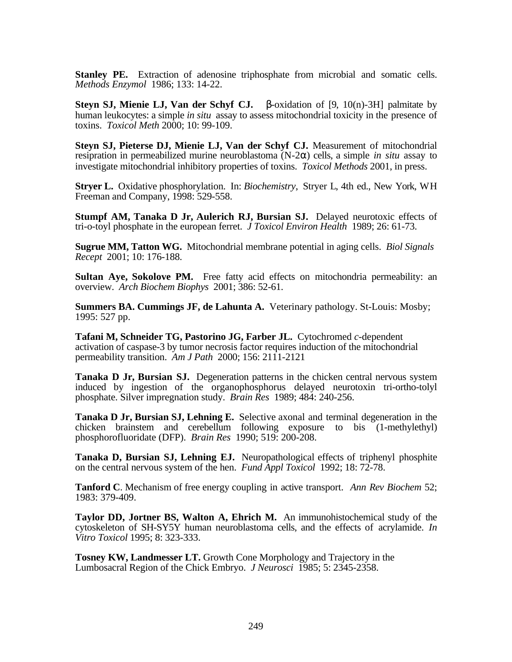**Stanley PE.** Extraction of adenosine triphosphate from microbial and somatic cells. *Methods Enzymol* 1986; 133: 14-22.

**Steyn SJ, Mienie LJ, Van der Schyf CJ.** β-oxidation of [9, 10(n)-3H] palmitate by human leukocytes: a simple *in situ* assay to assess mitochondrial toxicity in the presence of toxins. *Toxicol Meth* 2000; 10: 99-109.

**Steyn SJ, Pieterse DJ, Mienie LJ, Van der Schyf CJ.** Measurement of mitochondrial resipration in permeabilized murine neuroblastoma (N-2α) cells, a simple *in situ* assay to investigate mitochondrial inhibitory properties of toxins. *Toxicol Methods* 2001, in press.

**Stryer L.** Oxidative phosphorylation. In: *Biochemistry*, Stryer L, 4th ed., New York, WH Freeman and Company, 1998: 529-558.

**Stumpf AM, Tanaka D Jr, Aulerich RJ, Bursian SJ.** Delayed neurotoxic effects of tri-o-toyl phosphate in the european ferret. *J Toxicol Environ Health* 1989; 26: 61-73.

**Sugrue MM, Tatton WG.** Mitochondrial membrane potential in aging cells. *Biol Signals Recept* 2001; 10: 176-188.

**Sultan Aye, Sokolove PM.** Free fatty acid effects on mitochondria permeability: an overview. *Arch Biochem Biophys* 2001; 386: 52-61.

**Summers BA. Cummings JF, de Lahunta A.** Veterinary pathology. St-Louis: Mosby; 1995: 527 pp.

**Tafani M, Schneider TG, Pastorino JG, Farber JL.** Cytochromed *c*-dependent activation of caspase-3 by tumor necrosis factor requires induction of the mitochondrial permeability transition. *Am J Path* 2000; 156: 2111-2121

**Tanaka D Jr, Bursian SJ.** Degeneration patterns in the chicken central nervous system induced by ingestion of the organophosphorus delayed neurotoxin tri-ortho-tolyl phosphate. Silver impregnation study. *Brain Res* 1989; 484: 240-256.

**Tanaka D Jr, Bursian SJ, Lehning E.** Selective axonal and terminal degeneration in the chicken brainstem and cerebellum following exposure to bis (1-methylethyl) phosphorofluoridate (DFP). *Brain Res* 1990; 519: 200-208.

**Tanaka D, Bursian SJ, Lehning EJ.** Neuropathological effects of triphenyl phosphite on the central nervous system of the hen. *Fund Appl Toxicol* 1992; 18: 72-78.

**Tanford C**. Mechanism of free energy coupling in active transport. *Ann Rev Biochem* 52; 1983: 379-409.

**Taylor DD, Jortner BS, Walton A, Ehrich M.** An immunohistochemical study of the cytoskeleton of SH-SY5Y human neuroblastoma cells, and the effects of acrylamide. *In Vitro Toxicol* 1995; 8: 323-333.

**Tosney KW, Landmesser LT.** Growth Cone Morphology and Trajectory in the Lumbosacral Region of the Chick Embryo. *J Neurosci* 1985; 5: 2345-2358.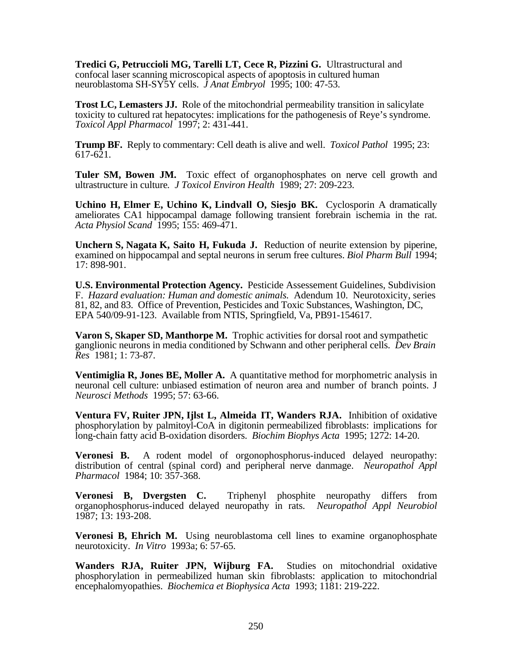**Tredici G, Petruccioli MG, Tarelli LT, Cece R, Pizzini G.** Ultrastructural and confocal laser scanning microscopical aspects of apoptosis in cultured human neuroblastoma SH-SY5Y cells. *J Anat Embryol* 1995; 100: 47-53.

**Trost LC, Lemasters JJ.** Role of the mitochondrial permeability transition in salicylate toxicity to cultured rat hepatocytes: implications for the pathogenesis of Reye's syndrome. *Toxicol Appl Pharmacol* 1997; 2: 431-441.

**Trump BF.** Reply to commentary: Cell death is alive and well. *Toxicol Pathol* 1995; 23: 617-621.

Tuler SM, Bowen JM. Toxic effect of organophosphates on nerve cell growth and ultrastructure in culture*. J Toxicol Environ Health* 1989; 27: 209-223.

**Uchino H, Elmer E, Uchino K, Lindvall O, Siesjo BK.** Cyclosporin A dramatically ameliorates CA1 hippocampal damage following transient forebrain ischemia in the rat. *Acta Physiol Scand* 1995; 155: 469-471.

**Unchern S, Nagata K, Saito H, Fukuda J.** Reduction of neurite extension by piperine, examined on hippocampal and septal neurons in serum free cultures. *Biol Pharm Bull* 1994; 17: 898-901.

**U.S. Environmental Protection Agency.** Pesticide Assessement Guidelines, Subdivision F. *Hazard evaluation: Human and domestic animals.* Adendum 10. Neurotoxicity, series 81, 82, and 83. Office of Prevention, Pesticides and Toxic Substances, Washington, DC, EPA 540/09-91-123. Available from NTIS, Springfield, Va, PB91-154617.

**Varon S, Skaper SD, Manthorpe M.** Trophic activities for dorsal root and sympathetic ganglionic neurons in media conditioned by Schwann and other peripheral cells. *Dev Brain Res* 1981; 1: 73-87.

**Ventimiglia R, Jones BE, Moller A.** A quantitative method for morphometric analysis in neuronal cell culture: unbiased estimation of neuron area and number of branch points. J *Neurosci Methods* 1995; 57: 63-66.

**Ventura FV, Ruiter JPN, Ijlst L, Almeida IT, Wanders RJA.** Inhibition of oxidative phosphorylation by palmitoyl-CoA in digitonin permeabilized fibroblasts: implications for long-chain fatty acid B-oxidation disorders. *Biochim Biophys Acta* 1995; 1272: 14-20.

**Veronesi B.** A rodent model of orgonophosphorus-induced delayed neuropathy: distribution of central (spinal cord) and peripheral nerve danmage. *Neuropathol Appl Pharmacol* 1984; 10: 357-368.

**Veronesi B, Dvergsten C.** Triphenyl phosphite neuropathy differs from organophosphorus-induced delayed neuropathy in rats. *Neuropathol Appl Neurobiol* 1987; 13: 193-208.

**Veronesi B, Ehrich M.** Using neuroblastoma cell lines to examine organophosphate neurotoxicity. *In Vitro* 1993a; 6: 57-65.

**Wanders RJA, Ruiter JPN, Wijburg FA.** Studies on mitochondrial oxidative phosphorylation in permeabilized human skin fibroblasts: application to mitochondrial encephalomyopathies. *Biochemica et Biophysica Acta* 1993; 1181: 219-222.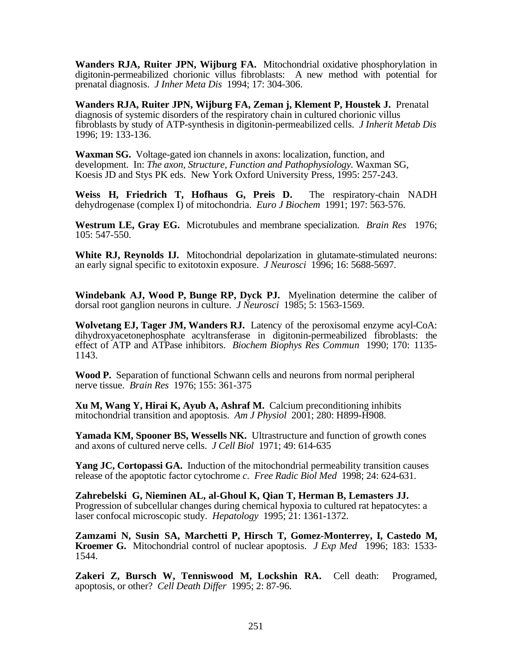**Wanders RJA, Ruiter JPN, Wijburg FA.** Mitochondrial oxidative phosphorylation in digitonin-permeabilized chorionic villus fibroblasts: A new method with potential for prenatal diagnosis. *J Inher Meta Dis* 1994; 17: 304-306.

**Wanders RJA, Ruiter JPN, Wijburg FA, Zeman j, Klement P, Houstek J.** Prenatal diagnosis of systemic disorders of the respiratory chain in cultured chorionic villus fibroblasts by study of ATP-synthesis in digitonin-permeabilized cells. *J Inherit Metab Dis* 1996; 19: 133-136.

**Waxman SG.** Voltage-gated ion channels in axons: localization, function, and development. In: *The axon, Structure, Function and Pathophysiology.* Waxman SG, Koesis JD and Stys PK eds. New York Oxford University Press, 1995: 257-243.

**Weiss H, Friedrich T, Hofhaus G, Preis D.** The respiratory-chain NADH dehydrogenase (complex I) of mitochondria. *Euro J Biochem* 1991; 197: 563-576.

**Westrum LE, Gray EG.** Microtubules and membrane specialization. *Brain Res* 1976; 105: 547-550.

White RJ, Reynolds IJ. Mitochondrial depolarization in glutamate-stimulated neurons: an early signal specific to exitotoxin exposure. *J Neurosci* 1996; 16: 5688-5697.

**Windebank AJ, Wood P, Bunge RP, Dyck PJ.** Myelination determine the caliber of dorsal root ganglion neurons in culture. *J Neurosci* 1985; 5: 1563-1569.

**Wolvetang EJ, Tager JM, Wanders RJ.** Latency of the peroxisomal enzyme acyl-CoA: dihydroxyacetonephosphate acyltransferase in digitonin-permeabilized fibroblasts: the effect of ATP and ATPase inhibitors. *Biochem Biophys Res Commun* 1990; 170: 1135- 1143.

**Wood P.** Separation of functional Schwann cells and neurons from normal peripheral nerve tissue. *Brain Res* 1976; 155: 361-375

**Xu M, Wang Y, Hirai K, Ayub A, Ashraf M.** Calcium preconditioning inhibits mitochondrial transition and apoptosis. *Am J Physiol* 2001; 280: H899-H908.

**Yamada KM, Spooner BS, Wessells NK.** Ultrastructure and function of growth cones and axons of cultured nerve cells. *J Cell Biol* 1971; 49: 614-635

Yang JC. Cortopassi GA. Induction of the mitochondrial permeability transition causes release of the apoptotic factor cytochrome *c*. *Free Radic Biol Med* 1998; 24: 624-631.

**Zahrebelski G, Nieminen AL, al-Ghoul K, Qian T, Herman B, Lemasters JJ.** Progression of subcellular changes during chemical hypoxia to cultured rat hepatocytes: a laser confocal microscopic study. *Hepatology* 1995; 21: 1361-1372.

**Zamzami N, Susin SA, Marchetti P, Hirsch T, Gomez-Monterrey, I, Castedo M, Kroemer G.** Mitochondrial control of nuclear apoptosis. *J Exp Med* 1996; 183: 1533- 1544.

**Zakeri Z, Bursch W, Tenniswood M, Lockshin RA.** Cell death: Programed, apoptosis, or other? *Cell Death Differ* 1995; 2: 87-96.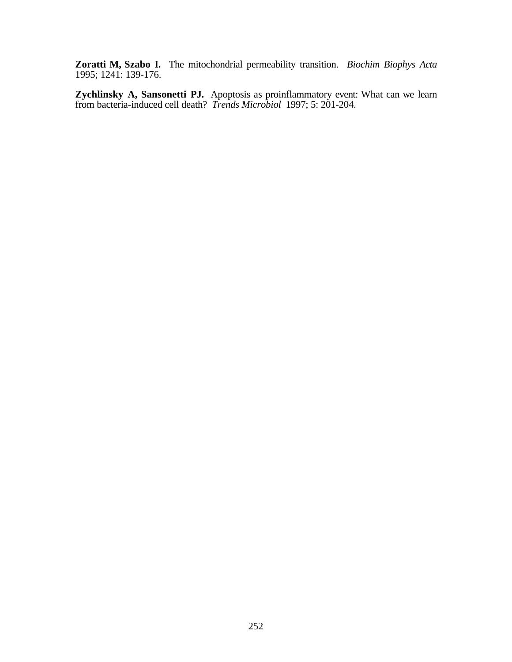**Zoratti M, Szabo I.** The mitochondrial permeability transition. *Biochim Biophys Acta* 1995; 1241: 139-176.

**Zychlinsky A, Sansonetti PJ.** Apoptosis as proinflammatory event: What can we learn from bacteria-induced cell death? *Trends Microbiol* 1997; 5: 201-204.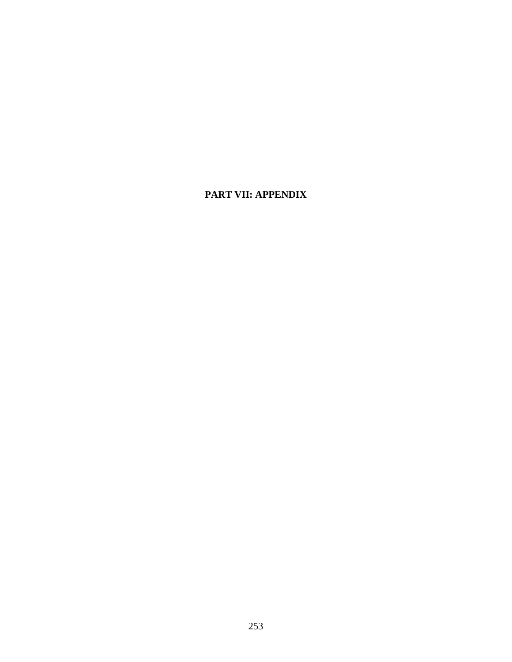# **PART VII: APPENDIX**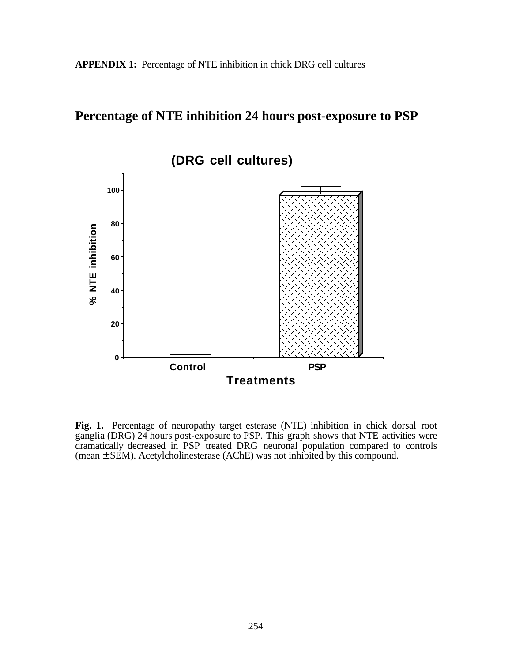# **Percentage of NTE inhibition 24 hours post-exposure to PSP**



**Fig. 1.** Percentage of neuropathy target esterase (NTE) inhibition in chick dorsal root ganglia (DRG) 24 hours post-exposure to PSP. This graph shows that NTE activities were dramatically decreased in PSP treated DRG neuronal population compared to controls  $(mean \pm SEM)$ . Acetylcholinesterase  $(AChE)$  was not inhibited by this compound.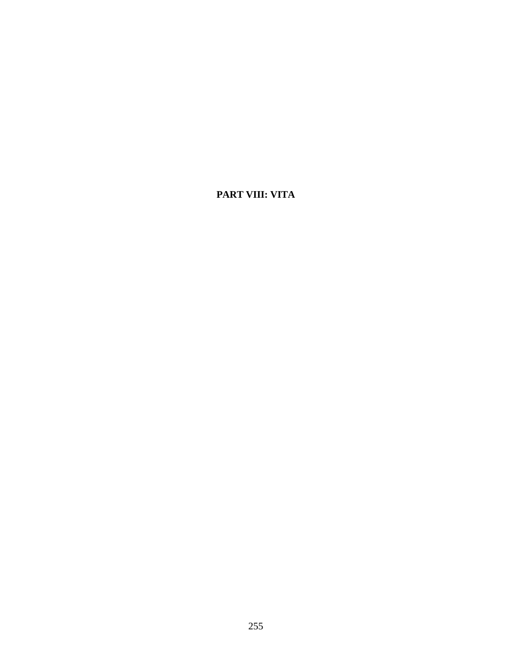# **PART VIII: VITA**